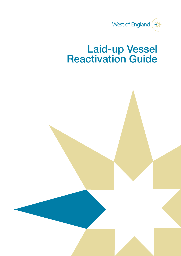

# Laid-up Vessel Reactivation Guide

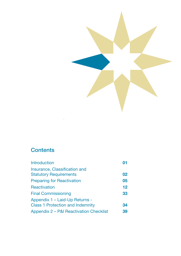

# **Contents**

| <b>Introduction</b>                                                       |    |
|---------------------------------------------------------------------------|----|
| Insurance, Classification and<br><b>Statutory Requirements</b>            | 02 |
| <b>Preparing for Reactivation</b>                                         | 05 |
| Reactivation                                                              | 12 |
| <b>Final Commissioning</b>                                                | 33 |
| Appendix 1 - Laid-Up Returns -<br><b>Class 1 Protection and Indemnity</b> | 34 |
| Appendix 2 – P&I Reactivation Checklist                                   | 39 |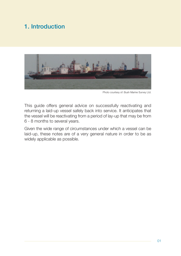# 1. Introduction



Photo courtesy of: Bush Marine Survey Ltd.

This guide offers general advice on successfully reactivating and returning a laid-up vessel safely back into service. It anticipates that the vessel will be reactivating from a period of lay-up that may be from 6 - 8 months to several years.

Given the wide range of circumstances under which a vessel can be laid-up, these notes are of a very general nature in order to be as widely applicable as possible.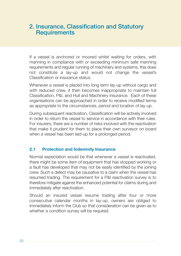### 2. Insurance, Classification and Statutory **Requirements**

If a vessel is anchored or moored whilst waiting for orders, with manning in compliance with or exceeding minimum safe manning requirements and regular running of machinery and systems, this does not constitute a lay-up and would not change the vessel's Classification or insurance status.

Whenever a vessel is placed into long term lay-up without cargo and with reduced crew, it then becomes inappropriate to maintain full Classification, P&I, and Hull and Machinery insurance. Each of these organisations can be approached in order to receive modified terms as appropriate to the circumstances, period and location of lay-up.

During subsequent reactivation, Classification will be actively involved in order to return the vessel to service in accordance with their rules. For insurers, there are a number of risks involved with the reactivation that make it prudent for them to place their own surveyor on board when a vessel has been laid-up for a prolonged period.

### **2.1 Protection and Indemnity Insurance**

Normal expectation would be that whenever a vessel is reactivated, there might be some item of equipment that has stopped working or a fault has developed that may not be easily identified by the joining crew. Such a defect may be causative to a claim when the vessel has resumed trading. The requirement for a P&I reactivation survey is to therefore mitigate against the enhanced potential for claims during and immediately after reactivation.

Should an insured vessel resume trading after four or more consecutive calendar months in lay-up, owners are obliged to immediately inform the Club so that consideration can be given as to whether a condition survey will be required.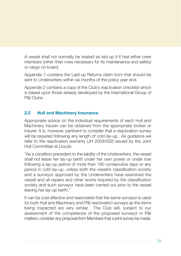A vessel shall not normally be treated as laid-up if it had either crew members (other than crew necessary for its maintenance and safety) or cargo on board.

Appendix 1 contains the Laid-up Returns claim form that should be sent to Underwriters within six months of the policy year end.

Appendix 2 contains a copy of the Club's reactivation checklist which is based upon those already developed by the International Group of P&I Clubs.

### **2.2 Hull and Machinery Insurance**

Appropriate advice on the individual requirements of each Hull and Machinery insurer can be obtained from the appropriate broker or insurer. It is, however, pertinent to consider that a reactivation survey will be required following any length of cold lay-up. As guidance we refer to the reactivation warranty (JH 2009/002) issued by the Joint Hull Committee at Lloyds:

"As a condition precedent to the liability of the Underwriters, the vessel shall not leave her lay-up berth under her own power or under tow following a lay-up period of more than 180 consecutive days or any period in cold lay-up, unless both the vessel's classification society and a surveyor approved by the Underwriters have examined the vessel and all repairs and other works required by the classification society and such surveyor have been carried out prior to the vessel leaving her lay-up berth."

It can be cost effective and reasonable that the same surveyor is used for both Hull and Machinery and P&I reactivation surveys as the items being inspected are very similar. The Club will, subject to our assessment of the competence of the proposed surveyor in P&I matters, consider any proposal from Members that a joint survey be made.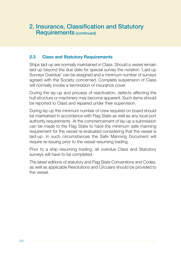### 2. Insurance, Classification and Statutory Requirements (continued)

### **2.3 Class and Statutory Requirements**

Ships laid-up are normally maintained in Class. Should a vessel remain laid-up beyond the due date for special survey the notation 'Laid-up Surveys Overdue' can be assigned and a minimum number of surveys agreed with the Society concerned. Complete suspension of Class will normally invoke a termination of insurance cover.

During the lay-up and process of reactivation, defects affecting the hull structure or machinery may become apparent. Such items should be reported to Class and repaired under their supervision.

During lay-up the minimum number of crew required on board should be maintained in accordance with Flag State as well as any local port authority requirements. At the commencement of lay-up a submission can be made to the Flag State to have the minimum safe manning requirement for the vessel re-evaluated considering that the vessel is laid-up. In such circumstances the Safe Manning Document will require re-issuing prior to the vessel resuming trading.

Prior to a ship resuming trading, all overdue Class and Statutory surveys will have to be completed.

The latest editions of statutory and Flag State Conventions and Codes, as well as applicable Resolutions and Circulars should be provided to the vessel.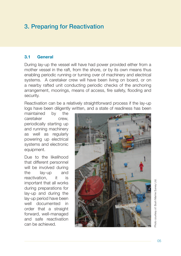# 3. Preparing for Reactivation

### **3.1 General**

During lay-up the vessel will have had power provided either from a mother vessel in the raft, from the shore, or by its own means thus enabling periodic running or turning over of machinery and electrical systems. A caretaker crew will have been living on board, or on a nearby rafted unit conducting periodic checks of the anchoring arrangement, moorings, means of access, fire safety, flooding and security.

Reactivation can be a relatively straightforward process if the lay-up logs have been diligently written, and a state of readiness has been

maintained by the caretaker crew, periodically starting up and running machinery as well as regularly powering up electrical systems and electronic equipment.

Due to the likelihood that different personnel will be involved during the lay-up and reactivation it is important that all works during preparations for lay-up and during the lay-up period have been well documented in order that a straight forward, well-managed and safe reactivation can be achieved.

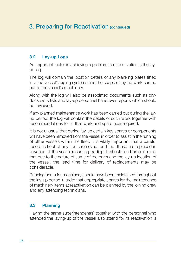# 3. Preparing for Reactivation (continued)

### **3.2 Lay-up Logs**

An important factor in achieving a problem free reactivation is the layup log.

The log will contain the location details of any blanking plates fitted into the vessel's piping systems and the scope of lay-up work carried out to the vessel's machinery.

Along with the log will also be associated documents such as drydock work lists and lay-up personnel hand over reports which should be reviewed.

If any planned maintenance work has been carried out during the layup period, the log will contain the details of such work together with recommendations for further work and spare gear required.

It is not unusual that during lay-up certain key spares or components will have been removed from the vessel in order to assist in the running of other vessels within the fleet. It is vitally important that a careful record is kept of any items removed, and that these are replaced in advance of the vessel resuming trading. It should be borne in mind that due to the nature of some of the parts and the lay-up location of the vessel, the lead time for delivery of replacements may be considerable.

Running hours for machinery should have been maintained throughout the lay-up period in order that appropriate spares for the maintenance of machinery items at reactivation can be planned by the joining crew and any attending technicians.

### **3.3 Planning**

Having the same superintendent(s) together with the personnel who attended the laying-up of the vessel also attend for its reactivation is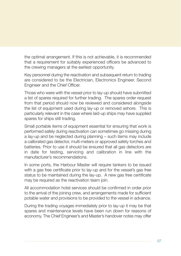the optimal arrangement. If this is not achievable, it is recommended that a requirement for suitably experienced officers be advanced to the crewing managers at the earliest opportunity.

Key personnel during the reactivation and subsequent return to trading are considered to be the Electrician, Electronics Engineer, Second Engineer and the Chief Officer.

Those who were with the vessel prior to lay-up should have submitted a list of spares required for further trading. The spares order request from that period should now be reviewed and considered alongside the list of equipment used during lay-up or removed ashore. This is particularly relevant in the case where laid-up ships may have supplied spares for ships still trading.

Small portable items of equipment essential for ensuring that work is performed safely during reactivation can sometimes go missing during a lay-up and be neglected during planning – such items may include a calibrated gas detector, multi-meters or approved safety torches and batteries. Prior to use it should be ensured that all gas detectors are in date for testing, servicing and calibration in line with the manufacturer's recommendations.

In some ports, the Harbour Master will require tankers to be issued with a gas free certificate prior to lay-up and for the vessel's gas free status to be maintained during the lay-up. A new gas free certificate may be required as the reactivation team join.

All accommodation hotel services should be confirmed in order prior to the arrival of the joining crew, and arrangements made for sufficient potable water and provisions to be provided to the vessel in advance.

During the trading voyages immediately prior to lay-up it may be that spares and maintenance levels have been run down for reasons of economy. The Chief Engineer's and Master's handover notes may offer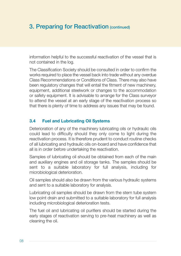# 3. Preparing for Reactivation (continued)

information helpful to the successful reactivation of the vessel that is not contained in the log.

The Classification Society should be consulted in order to confirm the works required to place the vessel back into trade without any overdue Class Recommendations or Conditions of Class. There may also have been regulatory changes that will entail the fitment of new machinery, equipment, additional steelwork or changes to the accommodation or safety equipment. It is advisable to arrange for the Class surveyor to attend the vessel at an early stage of the reactivation process so that there is plenty of time to address any issues that may be found.

### **3.4 Fuel and Lubricating Oil Systems**

Deterioration of any of the machinery lubricating oils or hydraulic oils could lead to difficulty should they only come to light during the reactivation process. It is therefore prudent to conduct routine checks of all lubricating and hydraulic oils on-board and have confidence that all is in order before undertaking the reactivation.

Samples of lubricating oil should be obtained from each of the main and auxiliary engines and oil storage tanks. The samples should be sent to a suitable laboratory for full analysis, including for microbiological deterioration.

Oil samples should also be drawn from the various hydraulic systems and sent to a suitable laboratory for analysis.

Lubricating oil samples should be drawn from the stern tube system low point drain and submitted to a suitable laboratory for full analysis including microbiological deterioration tests.

The fuel oil and lubricating oil purifiers should be started during the early stages of reactivation serving to pre-heat machinery as well as cleaning the oil.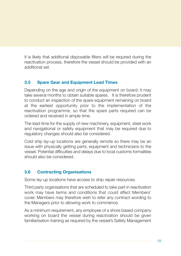It is likely that additional disposable filters will be required during the reactivation process, therefore the vessel should be provided with an additional set.

### **3.5 Spare Gear and Equipment Lead Times**

Depending on the age and origin of the equipment on board; it may take several months to obtain suitable spares. It is therefore prudent to conduct an inspection of the spare equipment remaining on board at the earliest opportunity prior to the implementation of the reactivation programme, so that the spare parts required can be ordered and received in ample time.

The lead time for the supply of new machinery, equipment, steel work and navigational or safety equipment that may be required due to regulatory changes should also be considered.

Cold ship lay-up locations are generally remote so there may be an issue with physically getting parts, equipment and technicians to the vessel. Potential difficulties and delays due to local customs formalities should also be considered.

### **3.6 Contracting Organisations**

Some lay-up locations have access to ship repair resources.

Third party organisations that are scheduled to take part in reactivation work may have terms and conditions that could affect Members' cover. Members may therefore wish to refer any contract wording to the Managers prior to allowing work to commence.

As a minimum requirement, any employee of a shore based company working on board the vessel during reactivation should be given familiarisation training as required by the vessel's Safety Management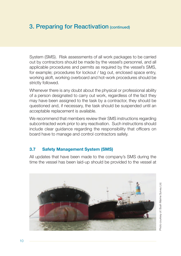# 3. Preparing for Reactivation (continued)

System (SMS). Risk assessments of all work packages to be carried out by contractors should be made by the vessel's personnel, and all applicable procedures and permits as required by the vessel's SMS, for example; procedures for lockout / tag out, enclosed space entry, working aloft, working overboard and hot-work procedures should be strictly followed.

Whenever there is any doubt about the physical or professional ability of a person designated to carry out work, regardless of the fact they may have been assigned to the task by a contractor, they should be questioned and, if necessary, the task should be suspended until an acceptable replacement is available.

We recommend that members review their SMS instructions regarding subcontracted work prior to any reactivation. Such instructions should include clear guidance regarding the responsibility that officers on board have to manage and control contractors safely.

### **3.7 Safety Management System (SMS)**

All updates that have been made to the company's SMS during the time the vessel has been laid-up should be provided to the vessel at



Photo courtesy of: Bush Marine Survey Ltd. Photo courtesy of: Bush Marine Survey Ltd.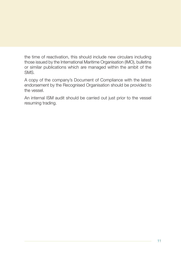the time of reactivation, this should include new circulars including those issued by the International Maritime Organisation (IMO), bulletins or similar publications which are managed within the ambit of the SMS.

A copy of the company's Document of Compliance with the latest endorsement by the Recognised Organisation should be provided to the vessel.

An internal ISM audit should be carried out just prior to the vessel resuming trading.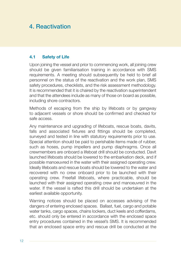# 4. Reactivation

### **4.1 Safety of Life**

Upon joining the vessel and prior to commencing work, all joining crew should be given familiarisation training in accordance with SMS requirements. A meeting should subsequently be held to brief all personnel on the status of the reactivation and the work plan, SMS safety procedures, checklists, and the risk assessment methodology. It is recommended that it is chaired by the reactivation superintendent and that the attendees include as many of those on board as possible, including shore contractors.

Methods of escaping from the ship by lifeboats or by gangway to adjacent vessels or shore should be confirmed and checked for safe access.

Any maintenance and upgrading of lifeboats, rescue boats, davits, falls and associated fixtures and fittings should be completed, surveyed and tested in line with statutory requirements prior to use. Special attention should be paid to perishable items made of rubber, such as hoses, pump impellers and pump diaphragms. Once all crewmembers are onboard a lifeboat drill should be conducted. Davit launched lifeboats should be lowered to the embarkation deck, and if possible manoeuvred in the water with their assigned operating crew. Ideally lifeboats and rescue boats should be lowered to the water and recovered with no crew onboard prior to be launched with their operating crew. Freefall lifeboats, where practicable, should be launched with their assigned operating crew and manoeuvred in the water. If the vessel is rafted this drill should be undertaken at the earliest available opportunity.

Warning notices should be placed on accesses advising of the dangers of entering enclosed spaces. Ballast, fuel, cargo and potable water tanks, cargo spaces, chains lockers, duct keels and cofferdams, etc. should only be entered in accordance with the enclosed space entry procedures contained in the vessel's SMS. It is recommended that an enclosed space entry and rescue drill be conducted at the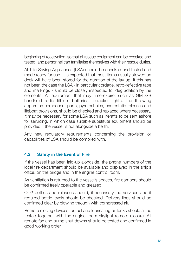beginning of reactivation, so that all rescue equipment can be checked and tested, and personnel can familiarise themselves with their rescue duties.

All Life-Saving Appliances (LSA) should be checked and tested and made ready for use. It is expected that most items usually stowed on deck will have been stored for the duration of the lay-up. If this has not been the case the LSA - in particular cordage, retro-reflective tape and markings - should be closely inspected for degradation by the elements. All equipment that may time-expire, such as GMDSS handheld radio lithium batteries, lifejacket lights, line throwing apparatus component parts, pyrotechnics, hydrostatic releases and lifeboat provisions, should be checked and replaced where necessary. It may be necessary for some LSA such as liferafts to be sent ashore for servicing, in which case suitable substitute equipment should be provided if the vessel is not alongside a berth.

Any new regulatory requirements concerning the provision or capabilities of LSA should be complied with.

### **4.2 Safety in the Event of Fire**

If the vessel has been laid-up alongside, the phone numbers of the local fire department should be available and displayed in the ship's office, on the bridge and in the engine control room.

As ventilation is returned to the vessel's spaces, fire dampers should be confirmed freely operable and greased.

CO2 bottles and releases should, if necessary, be serviced and if required bottle levels should be checked. Delivery lines should be confirmed clear by blowing through with compressed air.

Remote closing devices for fuel and lubricating oil tanks should all be tested together with the engine room skylight remote closure. All remote fan and pump shut downs should be tested and confirmed in good working order.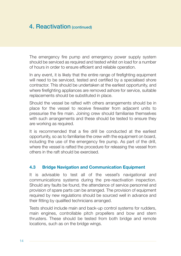The emergency fire pump and emergency power supply system should be serviced as required and tested whilst on load for a number of hours in order to ensure efficient and reliable operation.

In any event, it is likely that the entire range of firefighting equipment will need to be serviced, tested and certified by a specialised shore contractor. This should be undertaken at the earliest opportunity, and where firefighting appliances are removed ashore for service, suitable replacements should be substituted in place.

Should the vessel be rafted with others arrangements should be in place for the vessel to receive firewater from adjacent units to pressurise the fire main. Joining crew should familiarise themselves with such arrangements and these should be tested to ensure they are working as required.

It is recommended that a fire drill be conducted at the earliest opportunity, so as to familiarise the crew with the equipment on board, including the use of the emergency fire pump. As part of the drill, where the vessel is rafted the procedure for releasing the vessel from others in the raft should be exercised.

#### **4.3 Bridge Navigation and Communication Equipment**

It is advisable to test all of the vessel's navigational and communications systems during the pre-reactivation inspection. Should any faults be found, the attendance of service personnel and provision of spare parts can be arranged. The provision of equipment required by new regulations should be sourced well in advance and their fitting by qualified technicians arranged.

Tests should include main and back-up control systems for rudders, main engines, controllable pitch propellers and bow and stern thrusters. These should be tested from both bridge and remote locations, such as on the bridge wings.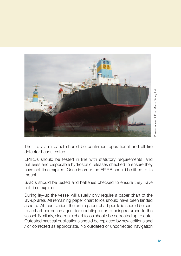

The fire alarm panel should be confirmed operational and all fire detector heads tested.

EPIRBs should be tested in line with statutory requirements, and batteries and disposable hydrostatic releases checked to ensure they have not time expired. Once in order the EPIRB should be fitted to its mount.

SARTs should be tested and batteries checked to ensure they have not time expired.

During lay-up the vessel will usually only require a paper chart of the lay-up area. All remaining paper chart folios should have been landed ashore. At reactivation, the entire paper chart portfolio should be sent to a chart correction agent for updating prior to being returned to the vessel. Similarly, electronic chart folios should be corrected up to date. Outdated nautical publications should be replaced by new editions and / or corrected as appropriate. No outdated or uncorrected navigation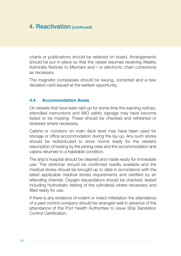charts or publications should be retained on board. Arrangements should be put in place so that the vessel resumes receiving Weekly Admiralty Notices to Mariners and / or electronic chart corrections as necessary.

The magnetic compasses should be swung, corrected and a new deviation card issued at the earliest opportunity.

### **4.4 Accommodation Areas**

On vessels that have been laid-up for some time the warning notices, stencilled instructions and IMO safety signage may have become faded or be missing. These should be checked and refreshed or renewed where necessary.

Cabins or corridors on main deck level may have been used for storage or office accommodation during the lay-up. Any such stores should be redistributed to store rooms ready for the vessel's resumption of trading by the joining crew and the accommodation and cabins returned to a habitable condition.

The ship's hospital should be cleaned and made ready for immediate use. The stretcher should be confirmed readily available and the medical stores should be brought up to date in accordance with the latest applicable medical stores requirements and certified by an attending chemist. Oxygen resuscitators should be checked, tested including hydrostatic testing of the cylinder(s) where necessary and filled ready for use.

If there is any evidence of rodent or insect infestation the attendance of a pest control company should be arranged well in advance of the attendance of the Port Health Authorities to issue Ship Sanitation Control Certification.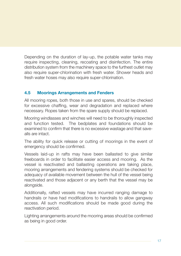Depending on the duration of lay-up, the potable water tanks may require inspecting, cleaning, recoating and disinfection. The entire distribution system from the machinery space to the furthest outlet may also require super-chlorination with fresh water. Shower heads and fresh water hoses may also require super-chlorination.

### **4.5 Moorings Arrangements and Fenders**

All mooring ropes, both those in use and spares, should be checked for excessive chaffing, wear and degradation and replaced where necessary. Ropes taken from the spare supply should be replaced.

Mooring windlasses and winches will need to be thoroughly inspected and function tested. The bedplates and foundations should be examined to confirm that there is no excessive wastage and that savealls are intact.

The ability for quick release or cutting of moorings in the event of emergency should be confirmed.

Vessels laid-up in rafts may have been ballasted to give similar freeboards in order to facilitate easier access and mooring. As the vessel is reactivated and ballasting operations are taking place, mooring arrangements and fendering systems should be checked for adequacy of available movement between the hull of the vessel being reactivated and those adjacent or any berth that the vessel may be alongside.

Additionally, rafted vessels may have incurred ranging damage to handrails or have had modifications to handrails to allow gangway access. All such modifications should be made good during the reactivation period.

Lighting arrangements around the mooring areas should be confirmed as being in good order.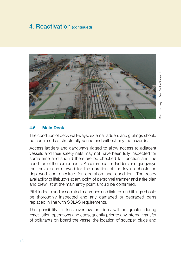

### **4.6 Main Deck**

The condition of deck walkways, external ladders and gratings should be confirmed as structurally sound and without any trip hazards.

Access ladders and gangways rigged to allow access to adjacent vessels and their safety nets may not have been fully inspected for some time and should therefore be checked for function and the condition of the components. Accommodation ladders and gangways that have been stowed for the duration of the lay-up should be deployed and checked for operation and condition. The ready availability of lifebuoys at any point of personnel transfer and a fire plan and crew list at the main entry point should be confirmed.

Pilot ladders and associated manropes and fixtures and fittings should be thoroughly inspected and any damaged or degraded parts replaced in line with SOLAS requirements.

The possibility of tank overflow on deck will be greater during reactivation operations and consequently prior to any internal transfer of pollutants on board the vessel the location of scupper plugs and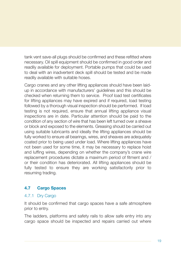tank vent save-all plugs should be confirmed and these refitted where necessary. Oil spill equipment should be confirmed in good order and readily available for deployment. Portable pumps that could be used to deal with an inadvertent deck spill should be tested and be made readily available with suitable hoses.

Cargo cranes and any other lifting appliances should have been laidup in accordance with manufacturers' guidelines and this should be checked when returning them to service. Proof load test certificates for lifting appliances may have expired and if required, load testing followed by a thorough visual inspection should be performed. If load testing is not required, ensure that annual lifting appliance visual inspections are in date. Particular attention should be paid to the condition of any section of wire that has been left turned over a sheave or block and exposed to the elements. Greasing should be carried out using suitable lubricants and ideally the lifting appliances should be fully worked to ensure all bearings, wires, and sheaves are adequately coated prior to being used under load. Where lifting appliances have not been used for some time, it may be necessary to replace hoist and luffing wires, depending on whether the company's crane wire replacement procedures dictate a maximum period of fitment and / or their condition has deteriorated. All lifting appliances should be fully tested to ensure they are working satisfactorily prior to resuming trading.

### **4.7 Cargo Spaces**

#### 4.7.1 Dry Cargo

It should be confirmed that cargo spaces have a safe atmosphere prior to entry.

The ladders, platforms and safety rails to allow safe entry into any cargo space should be inspected and repairs carried out where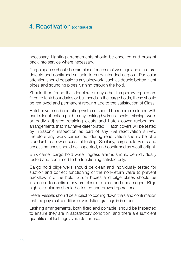necessary. Lighting arrangements should be checked and brought back into service where necessary.

Cargo spaces should be examined for areas of wastage and structural defects and confirmed suitable to carry intended cargos. Particular attention should be paid to any pipework, such as double bottom vent pipes and sounding pipes running through the hold.

Should it be found that doublers or any other temporary repairs are fitted to tank boundaries or bulkheads in the cargo holds, these should be removed and permanent repair made to the satisfaction of Class.

Hatchcovers and operating systems should be recommissioned with particular attention paid to any leaking hydraulic seals, missing, worn or badly adjusted retaining cleats and hatch cover rubber seal arrangements that may have deteriorated. Hatch covers will be tested by ultrasonic inspection as part of any P&I reactivation survey, therefore any work carried out during reactivation should be of a standard to allow successful testing. Similarly, cargo hold vents and access hatches should be inspected, and confirmed as weathertight.

Bulk carrier cargo hold water ingress alarms should be individually tested and confirmed to be functioning satisfactorily.

Cargo hold bilge wells should be clean and individually tested for suction and correct functioning of the non-return valve to prevent backflow into the hold. Strum boxes and bilge plates should be inspected to confirm they are clear of debris and undamaged. Bilge high level alarms should be tested and proved operational.

Reefer vessels should be subject to cooling down trials and confirmation that the physical condition of ventilation gratings is in order.

Lashing arrangements, both fixed and portable, should be inspected to ensure they are in satisfactory condition, and there are sufficient quantities of lashings available for use.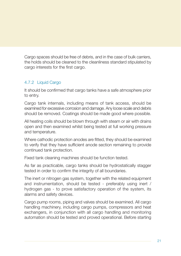Cargo spaces should be free of debris, and in the case of bulk carriers, the holds should be cleaned to the cleanliness standard stipulated by cargo interests for the first cargo.

### 4.7.2 Liquid Cargo

It should be confirmed that cargo tanks have a safe atmosphere prior to entry.

Cargo tank internals, including means of tank access, should be examined for excessive corrosion and damage. Any loose scale and debris should be removed. Coatings should be made good where possible.

All heating coils should be blown through with steam or air with drains open and then examined whilst being tested at full working pressure and temperature.

Where cathodic protection anodes are fitted, they should be examined to verify that they have sufficient anode section remaining to provide continued tank protection.

Fixed tank cleaning machines should be function tested.

As far as practicable, cargo tanks should be hydrostatically stagger tested in order to confirm the integrity of all boundaries.

The inert or nitrogen gas system, together with the related equipment and instrumentation, should be tested - preferably using inert / hydrogen gas - to prove satisfactory operation of the system, its alarms and safety devices.

Cargo pump rooms, piping and valves should be examined. All cargo handling machinery, including cargo pumps, compressors and heat exchangers, in conjunction with all cargo handling and monitoring automation should be tested and proved operational. Before starting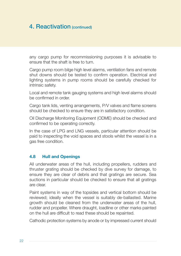any cargo pump for recommissioning purposes it is advisable to ensure that the shaft is free to turn.

Cargo pump room bilge high level alarms, ventilation fans and remote shut downs should be tested to confirm operation. Electrical and lighting systems in pump rooms should be carefully checked for intrinsic safety.

Local and remote tank gauging systems and high level alarms should be confirmed in order.

Cargo tank lids, venting arrangements, P/V valves and flame screens should be checked to ensure they are in satisfactory condition.

Oil Discharge Monitoring Equipment (ODME) should be checked and confirmed to be operating correctly.

In the case of LPG and LNG vessels, particular attention should be paid to inspecting the void spaces and stools whilst the vessel is in a gas free condition.

#### **4.8 Hull and Openings**

All underwater areas of the hull, including propellers, rudders and thruster grating should be checked by dive survey for damage, to ensure they are clear of debris and that gratings are secure. Sea suctions in particular should be checked to ensure that all gratings are clear.

Paint systems in way of the topsides and vertical bottom should be reviewed; ideally when the vessel is suitably de-ballasted. Marine growth should be cleaned from the underwater areas of the hull, rudder and propeller. Where draught, loadline or other marks painted on the hull are difficult to read these should be repainted.

Cathodic protection systems by anode or by impressed current should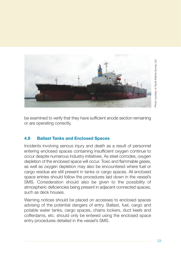

be examined to verify that they have sufficient anode section remaining or are operating correctly.

### **4.9 Ballast Tanks and Enclosed Spaces**

Incidents involving serious injury and death as a result of personnel entering enclosed spaces containing insufficient oxygen continue to occur despite numerous industry initiatives. As steel corrodes, oxygen depletion of the enclosed space will occur. Toxic and flammable gases, as well as oxygen depletion may also be encountered where fuel or cargo residue are still present in tanks or cargo spaces. All enclosed space entries should follow the procedures laid down in the vessel's SMS. Consideration should also be given to the possibility of atmospheric deficiencies being present in adjacent connected spaces, such as deck houses.

Warning notices should be placed on accesses to enclosed spaces advising of the potential dangers of entry. Ballast, fuel, cargo and potable water tanks, cargo spaces, chains lockers, duct keels and cofferdams, etc. should only be entered using the enclosed space entry procedures detailed in the vessel's SMS.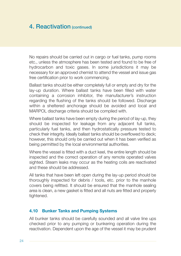No repairs should be carried out in cargo or fuel tanks, pump rooms etc., unless the atmosphere has been tested and found to be free of hydrocarbon and toxic gases. In some jurisdictions it may be necessary for an approved chemist to attend the vessel and issue gas free certification prior to work commencing.

Ballast tanks should be either completely full or empty and dry for the lay-up duration. Where ballast tanks have been filled with water containing a corrosion inhibitor, the manufacturer's instruction regarding the flushing of the tanks should be followed. Discharge within a sheltered anchorage should be avoided and local and MARPOL discharge criteria should be complied with.

Where ballast tanks have been empty during the period of lay-up, they should be inspected for leakage from any adjacent full tanks, particularly fuel tanks, and then hydrostatically pressure tested to check their integrity. Ideally ballast tanks should be overflowed to deck; however, this should only be carried out when it has been verified as being permitted by the local environmental authorities.

Where the vessel is fitted with a duct keel, the entire length should be inspected and the correct operation of any remote operated valves sighted. Steam leaks may occur as the heating coils are reactivated and these should be addressed.

All tanks that have been left open during the lay-up period should be thoroughly inspected for debris / tools, etc. prior to the manhole covers being refitted. It should be ensured that the manhole sealing area is clean, a new gasket is fitted and all nuts are fitted and properly tightened.

#### **4.10 Bunker Tanks and Pumping Systems**

All bunker tanks should be carefully sounded and all valve line ups checked prior to any pumping or bunkering operation during the reactivation. Dependent upon the age of the vessel it may be prudent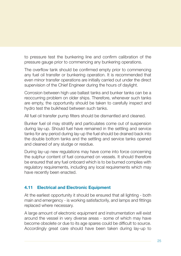to pressure test the bunkering line and confirm calibration of the pressure gauge prior to commencing any bunkering operations.

The overflow tank should be confirmed empty prior to commencing any fuel oil transfer or bunkering operation. It is recommended that even minor transfer operations are initially carried out under the direct supervision of the Chief Engineer during the hours of daylight.

Corrosion between high use ballast tanks and bunker tanks can be a reoccurring problem on older ships. Therefore, whenever such tanks are empty, the opportunity should be taken to carefully inspect and hydro test the bulkhead between such tanks.

All fuel oil transfer pump filters should be dismantled and cleaned.

Bunker fuel oil may stratify and particulates come out of suspension during lay-up. Should fuel have remained in the settling and service tanks for any period during lay-up the fuel should be drained back into the double bottom tanks and the settling and service tanks opened and cleaned of any sludge or residue.

During lay-up new regulations may have come into force concerning the sulphur content of fuel consumed on vessels. It should therefore be ensured that any fuel onboard which is to be burned complies with regulatory requirements, including any local requirements which may have recently been enacted.

### **4.11 Electrical and Electronic Equipment**

At the earliest opportunity it should be ensured that all lighting - both main and emergency - is working satisfactorily, and lamps and fittings replaced where necessary.

A large amount of electronic equipment and instrumentation will exist around the vessel in very diverse areas - some of which may have become obsolete or due to its age spares could be difficult to source. Accordingly great care should have been taken during lay-up to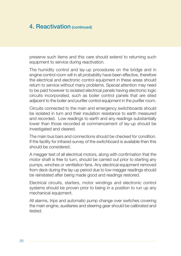preserve such items and this care should extend to returning such equipment to service during reactivation.

The humidity control and lay-up procedures on the bridge and in engine control room will in all probability have been effective, therefore the electrical and electronic control equipment in these areas should return to service without many problems. Special attention may need to be paid however to isolated electrical panels having electronic logic circuits incorporated, such as boiler control panels that are sited adjacent to the boiler and purifier control equipment in the purifier room.

Circuits connected to the main and emergency switchboards should be isolated in turn and their insulation resistance to earth measured and recorded. Low readings to earth and any readings substantially lower than those recorded at commencement of lay-up should be investigated and cleared.

The main bus bars and connections should be checked for condition. If the facility for infrared survey of the switchboard is available then this should be considered.

A megger test of all electrical motors, along with confirmation that the motor shaft is free to turn, should be carried out prior to starting any pumps, winches or ventilation fans. Any electrical equipment removed from deck during the lay-up period due to low megger readings should be reinstated after being made good and readings restored.

Electrical circuits, starters, motor windings and electronic control systems should be proven prior to being in a position to run up any mechanical equipment.

All alarms, trips and automatic pump change over switches covering the main engine, auxiliaries and steering gear should be calibrated and tested.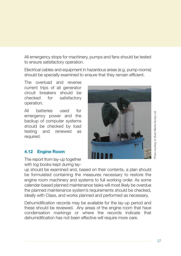Photo courtesy of: Bush Marine Survey Ltd Photo courtesy of: Bush Marine Survey Ltd.

All emergency stops for machinery, pumps and fans should be tested to ensure satisfactory operation.

Electrical cables and equipment in hazardous areas (e.g. pump rooms) should be specially examined to ensure that they remain efficient.

The overload and reverse current trips of all generator circuit breakers should be checked for satisfactory operation.

All batteries used for emergency power and the backup of computer systems should be checked by load testing and renewed as required.

#### **4.12 Engine Room**

The report from lay-up together with log books kept during lay-

up should be examined and, based on their contents, a plan should be formulated containing the measures necessary to restore the engine room machinery and systems to full working order. As some calendar-based planned maintenance tasks will most likely be overdue the planned maintenance system's requirements should be checked, ideally with Class, and works planned and performed as necessary.

Dehumidification records may be available for the lay-up period and these should be reviewed. Any areas of the engine room that have condensation markings or where the records indicate that dehumidification has not been effective will require more care.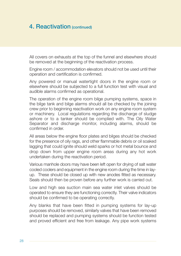All covers on exhausts at the top of the funnel and elsewhere should be removed at the beginning of the reactivation process.

Engine room / accommodation elevators should not be used until their operation and certification is confirmed.

Any powered or manual watertight doors in the engine room or elsewhere should be subjected to a full function test with visual and audible alarms confirmed as operational.

The operation of the engine room bilge pumping systems, space in the bilge tank and bilge alarms should all be checked by the joining crew prior to beginning reactivation work on any engine room system or machinery. Local regulations regarding the discharge of sludge ashore or to a tanker should be complied with. The Oily Water Separator and discharge monitor, including alarms, should be confirmed in order.

All areas below the engine floor plates and bilges should be checked for the presence of oily rags, and other flammable debris or oil soaked lagging that could ignite should weld sparks or hot metal bounce and drop down from upper engine room areas during any hot work undertaken during the reactivation period.

Various manhole doors may have been left open for drying of salt water cooled coolers and equipment in the engine room during the time in layup. These should be closed up with new anodes fitted as necessary. Seals should then be proven before any further work is carried out.

Low and high sea suction main sea water inlet valves should be operated to ensure they are functioning correctly. Their valve indicators should be confirmed to be operating correctly.

Any blanks that have been fitted in pumping systems for lay-up purposes should be removed, similarly valves that have been removed should be replaced and pumping systems should be function tested and proved efficient and free from leakage. Any pipe work systems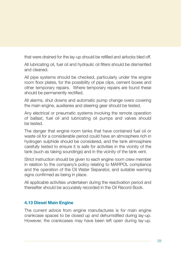that were drained for the lay-up should be refilled and airlocks bled off.

All lubricating oil, fuel oil and hydraulic oil filters should be dismantled and cleaned.

All pipe systems should be checked, particularly under the engine room floor plates, for the possibility of pipe clips, cement boxes and other temporary repairs. Where temporary repairs are found these should be permanently rectified.

All alarms, shut downs and automatic pump change overs covering the main engine, auxiliaries and steering gear should be tested.

Any electrical or pneumatic systems involving the remote operation of ballast, fuel oil and lubricating oil pumps and valves should be tested.

The danger that engine room tanks that have contained fuel oil or waste oil for a considerable period could have an atmosphere rich in hydrogen sulphide should be considered, and the tank atmosphere carefully tested to ensure it is safe for activities in the vicinity of the tank (such as taking soundings) and in the vicinity of the tank vent.

Strict instruction should be given to each engine room crew member in relation to the company's policy relating to MARPOL compliance and the operation of the Oil Water Separator, and suitable warning signs confirmed as being in place.

All applicable activities undertaken during the reactivation period and thereafter should be accurately recorded in the Oil Record Book.

### **4.13 Diesel Main Engine**

The current advice from engine manufactures is for main engine crankcase spaces to be closed up and dehumidified during lay-up. However, the crankcases may have been left open during lay-up.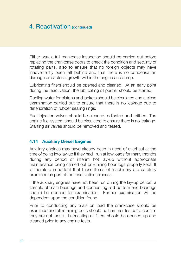Either way, a full crankcase inspection should be carried out before replacing the crankcase doors to check the condition and security of rotating parts, also to ensure that no foreign objects may have inadvertently been left behind and that there is no condensation damage or bacterial growth within the engine and sump.

Lubricating filters should be opened and cleaned. At an early point during the reactivation, the lubricating oil purifier should be started.

Cooling water for pistons and jackets should be circulated and a close examination carried out to ensure that there is no leakage due to deterioration of rubber sealing rings.

Fuel injection valves should be cleaned, adjusted and refitted. The engine fuel system should be circulated to ensure there is no leakage. Starting air valves should be removed and tested.

#### **4.14 Auxiliary Diesel Engines**

Auxiliary engines may have already been in need of overhaul at the time of going into lay-up if they had run at low loads for many months during any period of interim hot lay-up without appropriate maintenance being carried out or running hour logs properly kept. It is therefore important that these items of machinery are carefully examined as part of the reactivation process.

If the auxiliary engines have not been run during the lay-up period, a sample of main bearings and connecting rod bottom end bearings should be opened for examination. Further examination will be dependent upon the condition found.

Prior to conducting any trials on load the crankcase should be examined and all retaining bolts should be hammer tested to confirm they are not loose. Lubricating oil filters should be opened up and cleaned prior to any engine tests.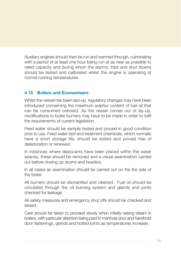Auxiliary engines should then be run and warmed through, culminating with a period of at least one hour being run at as near as possible to rated capacity and during which the alarms, trips and shut downs should be tested and calibrated whilst the engine is operating at normal running temperatures.

### **4.15 Boilers and Economisers**

Whilst the vessel has been laid-up, regulatory changes may have been introduced concerning the maximum sulphur content of fuel oil that can be consumed onboard. As the vessel comes out of lay-up, modifications to boiler burners may have to be made in order to fulfil the requirements of current legislation.

Feed water should be sample tested and proved in good condition prior to use. Feed water test and treatment chemicals, which normally have a short storage life, should be tested and proved free of deterioration or renewed.

In instances where desiccants have been placed within the water spaces, these should be removed and a visual examination carried out before closing up drums and headers.

In all cases an examination should be carried out on the fire side of the boiler.

All burners should be dismantled and cleaned. Fuel oil should be circulated through the oil burning system and glands and joints checked for leakage.

All safety measures and emergency shut offs should be checked and tested.

Care should be taken to proceed slowly when initially raising steam in boilers, with particular attention being paid to manhole door and handhold door fastenings, glands and bolted joints as temperatures increase.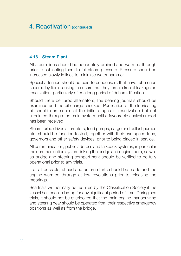### **4.16 Steam Plant**

All steam lines should be adequately drained and warmed through prior to subjecting them to full steam pressure. Pressure should be increased slowly in lines to minimise water hammer.

Special attention should be paid to condensers that have tube ends secured by fibre packing to ensure that they remain free of leakage on reactivation, particularly after a long period of dehumidification.

Should there be turbo alternators, the bearing journals should be examined and the oil charge checked. Purification of the lubricating oil should commence at the initial stages of reactivation but not circulated through the main system until a favourable analysis report has been received.

Steam turbo driven alternators, feed pumps, cargo and ballast pumps etc. should be function tested, together with their overspeed trips, governors and other safety devices, prior to being placed in service.

All communication, public address and talkback systems, in particular the communication system linking the bridge and engine room, as well as bridge and steering compartment should be verified to be fully operational prior to any trials.

If at all possible, ahead and astern starts should be made and the engine warmed through at low revolutions prior to releasing the moorings.

Sea trials will normally be required by the Classification Society if the vessel has been in lay-up for any significant period of time. During sea trials, it should not be overlooked that the main engine manoeuvring and steering gear should be operated from their respective emergency positions as well as from the bridge.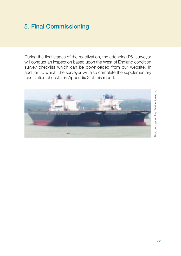# 5. Final Commissioning

During the final stages of the reactivation, the attending P&I surveyor will conduct an inspection based upon the West of England condition survey checklist which can be downloaded from our website. In addition to which, the surveyor will also complete the supplementary reactivation checklist in Appendix 2 of this report.

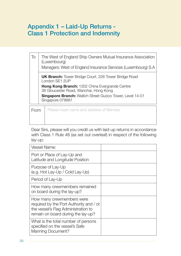# Appendix 1 – Laid-Up Returns - Class 1 Protection and Indemnity

The West of England Ship Owners Mutual Insurance Association (Luxembourg) Managers: West of England Insurance Services (Luxembourg) S.A To **UK Branch:** Tower Bridge Court, 226 Tower Bridge Road London SE1 2UP **Hong Kong Branch:** 1302 China Evergrande Centre 38 Gloucester Road, Wanchai, Hong Kong **Singapore Branch:** Wallich Street Guoco Tower, Level 14-01 Singapore 078881

**From** Please insert name and address of Member

Dear Sirs, please will you credit us with laid-up returns in accordance with Class 1 Rule 48 (as set out overleaf) in respect of the following lay-up:

| <b>Vessel Name:</b>                                                                                                                               |  |
|---------------------------------------------------------------------------------------------------------------------------------------------------|--|
| Port or Place of Lay-Up and<br>Latitude and Longitude Position                                                                                    |  |
| Purpose of Lay-Up<br>(e.g. Hot Lay-Up / Cold Lay-Up)                                                                                              |  |
| Period of Lay-Up                                                                                                                                  |  |
| How many crewmembers remained<br>on board during the lay-up?                                                                                      |  |
| How many crewmembers were<br>required by the Port Authority and / or<br>the vessel's Flag Administration to<br>remain on board during the lay-up? |  |
| What is the total number of persons<br>specified on the vessel's Safe<br>Manning Document?                                                        |  |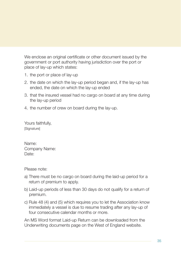We enclose an original certificate or other document issued by the government or port authority having jurisdiction over the port or place of lay-up which states:

- 1. the port or place of lay-up
- 2. the date on which the lay-up period began and, if the lay-up has ended, the date on which the lay-up ended
- 3. that the insured vessel had no cargo on board at any time during the lay-up period
- 4. the number of crew on board during the lay-up.

Yours faithfully, [Signature]

Name: Company Name: Date:

Please note:

- a) There must be no cargo on board during the laid-up period for a return of premium to apply.
- b) Laid-up periods of less than 30 days do not qualify for a return of premium.
- c) Rule 48 (4) and (5) which requires you to let the Association know immediately a vessel is due to resume trading after any lay-up of four consecutive calendar months or more.

An MS Word format Laid-up Return can be downloaded from the Underwriting documents page on the West of England website.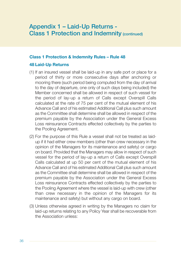### Appendix 1 – Laid-Up Returns - Class 1 Protection and Indemnity (continued)

#### **Class 1 Protection & Indemnity Rules – Rule 48**

#### **48 Laid-Up Returns**

- (1) If an insured vessel shall be laid-up in any safe port or place for a period of thirty or more consecutive days after anchoring or mooring there (such period being computed from the day of arrival to the day of departure, one only of such days being included) the Member concerned shall be allowed in respect of such vessel for the period of lay-up a return of Calls except Overspill Calls calculated at the rate of 75 per cent of the mutual element of his Advance Call and of his estimated Additional Call plus such amount as the Committee shall determine shall be allowed in respect of the premium payable by the Association under the General Excess Loss reinsurance Contracts effected collectively by the parties to the Pooling Agreement.
- (2) For the purpose of this Rule a vessel shall not be treated as laidup if it had either crew members (other than crew necessary in the opinion of the Managers for its maintenance and safety) or cargo on board. Provided that the Managers may allow in respect of such vessel for the period of lay-up a return of Calls except Overspill Calls calculated at up 50 per cent of the mutual element of his Advance Call and of his estimated Additional Call plus such amount as the Committee shall determine shall be allowed in respect of the premium payable by the Association under the General Excess Loss reinsurance Contracts effected collectively by the parties to the Pooling Agreement where the vessel is laid-up with crew (other than crew necessary in the opinion of the Managers for its maintenance and safety) but without any cargo on board.
- (3) Unless otherwise agreed in writing by the Managers no claim for laid-up returns relating to any Policy Year shall be recoverable from the Association unless: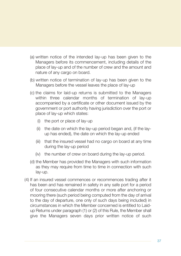- (a) written notice of the intended lay-up has been given to the Managers before its commencement, including details of the place of lay-up and of the number of crew and the amount and nature of any cargo on board.
- (b) written notice of termination of lay-up has been given to the Managers before the vessel leaves the place of lay-up
- (c) the claims for laid-up returns is submitted to the Managers within three calendar months of termination of lay-up accompanied by a certificate or other document issued by the government or port authority having jurisdiction over the port or place of lay-up which states:
	- (i) the port or place of lay-up
	- (ii) the date on which the lay-up period began and, (if the layup has ended), the date on which the lay-up ended
	- (iii) that the insured vessel had no cargo on board at any time during the lay-up period
	- (iv) the number of crew on board during the lay-up period.
- (d) the Member has provided the Managers with such information as they may require from time to time in connection with such lay-up.
- (4) If an insured vessel commences or recommences trading after it has been and has remained in safety in any safe port for a period of four consecutive calendar months or more after anchoring or mooring there (such period being computed from the day of arrival to the day of departure, one only of such days being included) in circumstances in which the Member concerned is entitled to Laidup Returns under paragraph (1) or (2) of this Rule, the Member shall give the Managers seven days prior written notice of such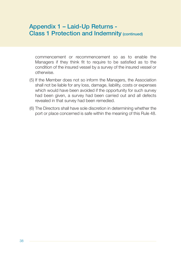### Appendix 1 – Laid-Up Returns - Class 1 Protection and Indemnity (continued)

commencement or recommencement so as to enable the Managers if they think fit to require to be satisfied as to the condition of the insured vessel by a survey of the insured vessel or otherwise.

- (5) If the Member does not so inform the Managers, the Association shall not be liable for any loss, damage, liability, costs or expenses which would have been avoided if the opportunity for such survey had been given, a survey had been carried out and all defects revealed in that survey had been remedied.
- (6) The Directors shall have sole discretion in determining whether the port or place concerned is safe within the meaning of this Rule 48.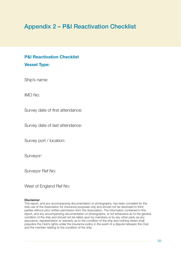### Appendix 2 – P&I Reactivation Checklist

### **P&I Reactivation Checklist Vessel Type:**

Ship's name:

IMO No:

Survey date of first attendance:

Survey date of last attendance:

Survey port / location:

Surveyor:

Surveyor Ref No:

West of England Ref No:

#### **Disclaimer**

This report, and any accompanying documentation or photographs, has been compiled for the sole use of the Association for insurance purposes only and should not be disclosed to third parties without prior written permission from the Association. The information contained in this report, and any accompanying documentation or photographs, is not exhaustive as to the general condition of the ship and should not be relied upon by members or by any other party as any assurance, representation or warranty as to the condition of the ship and nothing herein shall prejudice the Club's rights under the insurance policy in the event of a dispute between the Club and the member relating to the condition of the ship.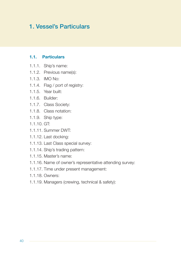### 1. Vessel's Particulars

#### **1.1. Particulars**

- 1.1.1. Ship's name:
- 1.1.2. Previous name(s):
- 1.1.3. IMO No:
- 1.1.4. Flag / port of registry:
- 1.1.5. Year built:
- 1.1.6. Builder:
- 1.1.7. Class Society:
- 1.1.8. Class notation:
- 1.1.9. Ship type:
- 1.1.10. GT:
- 1.1.11. Summer DWT:
- 1.1.12. Last docking:
- 1.1.13. Last Class special survey:
- 1.1.14. Ship's trading pattern:
- 1.1.15. Master's name:
- 1.1.16. Name of owner's representative attending survey:
- 1.1.17. Time under present management:
- 1.1.18. Owners:
- 1.1.19. Managers (crewing, technical & safety):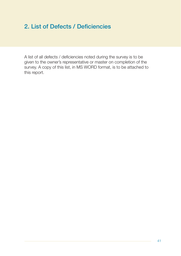### 2. List of Defects / Deficiencies

A list of all defects / deficiencies noted during the survey is to be given to the owner's representative or master on completion of the survey. A copy of this list, in MS WORD format, is to be attached to this report.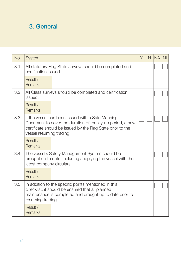# 3. General

| No. | System                                                                                                                                                                                                     | Y | $\mathsf{N}$ | <b>NA</b> | N <sub>l</sub> |
|-----|------------------------------------------------------------------------------------------------------------------------------------------------------------------------------------------------------------|---|--------------|-----------|----------------|
| 3.1 | All statutory Flag State surveys should be completed and<br>certification issued.                                                                                                                          |   |              |           |                |
|     | Result /<br>Remarks:                                                                                                                                                                                       |   |              |           |                |
| 3.2 | All Class surveys should be completed and certification<br>issued.                                                                                                                                         |   |              |           |                |
|     | Result /<br>Remarks:                                                                                                                                                                                       |   |              |           |                |
| 3.3 | If the vessel has been issued with a Safe Manning<br>Document to cover the duration of the lay-up period, a new<br>certificate should be issued by the Flag State prior to the<br>vessel resuming trading. |   |              |           |                |
|     | Result /<br>Remarks:                                                                                                                                                                                       |   |              |           |                |
| 3.4 | The vessel's Safety Management System should be<br>brought up to date, including supplying the vessel with the<br>latest company circulars.                                                                |   |              |           |                |
|     | Result /<br>Remarks:                                                                                                                                                                                       |   |              |           |                |
| 3.5 | In addition to the specific points mentioned in this<br>checklist, it should be ensured that all planned<br>maintenance is completed and brought up to date prior to<br>resuming trading.                  |   |              |           |                |
|     | Result /<br>Remarks:                                                                                                                                                                                       |   |              |           |                |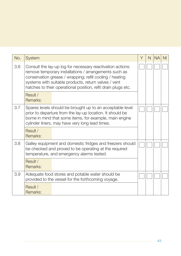| No. | System                                                                                                                                                                                                                                                                                                   | Υ | N | <b>NA</b> | ΝI |
|-----|----------------------------------------------------------------------------------------------------------------------------------------------------------------------------------------------------------------------------------------------------------------------------------------------------------|---|---|-----------|----|
| 3.6 | Consult the lay-up log for necessary reactivation actions:<br>remove temporary installations / arrangements such as<br>conservation grease / wrapping; refill cooling / heating<br>systems with suitable products, return valves / vent<br>hatches to their operational position, refit drain plugs etc. |   |   |           |    |
|     | Result /<br>Remarks:                                                                                                                                                                                                                                                                                     |   |   |           |    |
| 3.7 | Spares levels should be brought up to an acceptable level<br>prior to departure from the lay-up location. It should be<br>borne in mind that some items, for example, main engine<br>cylinder liners, may have very long lead times.                                                                     |   |   |           |    |
|     | Result /<br>Remarks:                                                                                                                                                                                                                                                                                     |   |   |           |    |
| 3.8 | Galley equipment and domestic fridges and freezers should<br>be checked and proved to be operating at the required<br>temperature, and emergency alarms tested.                                                                                                                                          |   |   |           |    |
|     | Result /<br>Remarks:                                                                                                                                                                                                                                                                                     |   |   |           |    |
| 3.9 | Adequate food stores and potable water should be<br>provided to the vessel for the forthcoming voyage.                                                                                                                                                                                                   |   |   |           |    |
|     | Result /<br>Remarks:                                                                                                                                                                                                                                                                                     |   |   |           |    |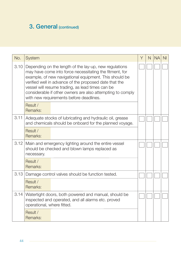### 3. General (continued)

| No.  | System                                                                                                                                                                                                                                                                                                                                                                                             | Υ | N | <b>NA</b> | N <sub>l</sub> |
|------|----------------------------------------------------------------------------------------------------------------------------------------------------------------------------------------------------------------------------------------------------------------------------------------------------------------------------------------------------------------------------------------------------|---|---|-----------|----------------|
| 3.10 | Depending on the length of the lay-up, new regulations<br>may have come into force necessitating the fitment, for<br>example, of new navigational equipment. This should be<br>verified well in advance of the proposed date that the<br>vessel will resume trading, as lead times can be<br>considerable if other owners are also attempting to comply<br>with new requirements before deadlines. |   |   |           |                |
|      | Result /<br>Remarks:                                                                                                                                                                                                                                                                                                                                                                               |   |   |           |                |
| 3.11 | Adequate stocks of lubricating and hydraulic oil, grease<br>and chemicals should be onboard for the planned voyage.                                                                                                                                                                                                                                                                                |   |   |           |                |
|      | Result /<br>Remarks:                                                                                                                                                                                                                                                                                                                                                                               |   |   |           |                |
| 3.12 | Main and emergency lighting around the entire vessel<br>should be checked and blown lamps replaced as<br>necessary.                                                                                                                                                                                                                                                                                |   |   |           |                |
|      | Result /<br>Remarks:                                                                                                                                                                                                                                                                                                                                                                               |   |   |           |                |
| 3.13 | Damage control valves should be function tested.                                                                                                                                                                                                                                                                                                                                                   |   |   |           |                |
|      | Result /<br>Remarks:                                                                                                                                                                                                                                                                                                                                                                               |   |   |           |                |
| 3.14 | Watertight doors, both powered and manual, should be<br>inspected and operated, and all alarms etc. proved<br>operational, where fitted.                                                                                                                                                                                                                                                           |   |   |           |                |
|      | Result /<br>Remarks:                                                                                                                                                                                                                                                                                                                                                                               |   |   |           |                |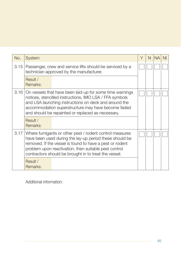| No.  | System                                                                                                                                                                                                                                                                                           | Y | N | <b>NA</b> |  |
|------|--------------------------------------------------------------------------------------------------------------------------------------------------------------------------------------------------------------------------------------------------------------------------------------------------|---|---|-----------|--|
| 3.15 | Passenger, crew and service lifts should be serviced by a<br>technician approved by the manufacturer.                                                                                                                                                                                            |   |   |           |  |
|      | Result /<br>Remarks:                                                                                                                                                                                                                                                                             |   |   |           |  |
|      | 3.16 On vessels that have been laid-up for some time warnings<br>notices, stencilled instructions, IMO LSA / FFA symbols<br>and LSA launching instructions on deck and around the<br>accommodation superstructure may have become faded<br>and should be repainted or replaced as necessary.     |   |   |           |  |
|      | Result /<br>Remarks:                                                                                                                                                                                                                                                                             |   |   |           |  |
| 3.17 | Where fumigants or other pest / rodent control measures<br>have been used during the lay-up period these should be<br>removed. If the vessel is found to have a pest or rodent<br>problem upon reactivation, then suitable pest control<br>contractors should be brought in to treat the vessel. |   |   |           |  |
|      | Result /<br>Remarks:                                                                                                                                                                                                                                                                             |   |   |           |  |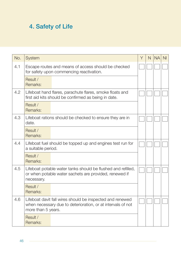## 4. Safety of Life

| No. | <b>System</b>                                                                                                                                  | Y | N | <b>NA</b> | N <sub>l</sub> |
|-----|------------------------------------------------------------------------------------------------------------------------------------------------|---|---|-----------|----------------|
| 4.1 | Escape routes and means of access should be checked<br>for safety upon commencing reactivation.                                                |   |   |           |                |
|     | Result /<br>Remarks:                                                                                                                           |   |   |           |                |
| 4.2 | Lifeboat hand flares, parachute flares, smoke floats and<br>first aid kits should be confirmed as being in date.                               |   |   |           |                |
|     | Result /<br>Remarks:                                                                                                                           |   |   |           |                |
| 4.3 | Lifeboat rations should be checked to ensure they are in<br>date.                                                                              |   |   |           |                |
|     | Result /<br>Remarks:                                                                                                                           |   |   |           |                |
| 4.4 | Lifeboat fuel should be topped up and engines test run for<br>a suitable period.                                                               |   |   |           |                |
|     | Result /<br>Remarks:                                                                                                                           |   |   |           |                |
| 4.5 | Lifeboat potable water tanks should be flushed and refilled,<br>or when potable water sachets are provided, renewed if<br>necessary.           |   |   |           |                |
|     | Result /<br>Remarks:                                                                                                                           |   |   |           |                |
| 4.6 | Lifeboat davit fall wires should be inspected and renewed<br>when necessary due to deterioration, or at intervals of not<br>more than 5 years. |   |   |           |                |
|     | Result /<br>Remarks:                                                                                                                           |   |   |           |                |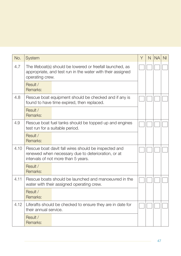| No.  | System                                                                                                                                            | Y | N | <b>NA</b> | N <sub>l</sub> |
|------|---------------------------------------------------------------------------------------------------------------------------------------------------|---|---|-----------|----------------|
| 4.7  | The lifeboat(s) should be lowered or freefall launched, as<br>appropriate, and test run in the water with their assigned<br>operating crew.       |   |   |           |                |
|      | Result /<br>Remarks:                                                                                                                              |   |   |           |                |
| 4.8  | Rescue boat equipment should be checked and if any is<br>found to have time expired, then replaced.                                               |   |   |           |                |
|      | Result /<br>Remarks:                                                                                                                              |   |   |           |                |
| 4.9  | Rescue boat fuel tanks should be topped up and engines<br>test run for a suitable period.                                                         |   |   |           |                |
|      | Result /<br>Remarks:                                                                                                                              |   |   |           |                |
| 4.10 | Rescue boat davit fall wires should be inspected and<br>renewed when necessary due to deterioration, or at<br>intervals of not more than 5 years. |   |   |           |                |
|      | Result /<br>Remarks:                                                                                                                              |   |   |           |                |
| 4.11 | Rescue boats should be launched and manoeuvred in the<br>water with their assigned operating crew.                                                |   |   |           |                |
|      | Result /<br>Remarks:                                                                                                                              |   |   |           |                |
| 4.12 | Liferafts should be checked to ensure they are in date for<br>their annual service.                                                               |   |   |           |                |
|      | Result /<br>Remarks:                                                                                                                              |   |   |           |                |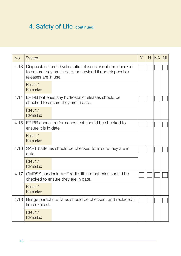## 4. Safety of Life (continued)

| No.  | <b>System</b>                                                                                                                                   | Y | $\mathsf{N}$ | <b>NA</b> | N <sub>l</sub> |
|------|-------------------------------------------------------------------------------------------------------------------------------------------------|---|--------------|-----------|----------------|
| 4.13 | Disposable liferaft hydrostatic releases should be checked<br>to ensure they are in date, or serviced if non-disposable<br>releases are in use. |   |              |           |                |
|      | Result /<br>Remarks:                                                                                                                            |   |              |           |                |
| 4.14 | EPIRB batteries any hydrostatic releases should be<br>checked to ensure they are in date.                                                       |   |              |           |                |
|      | Result /<br>Remarks:                                                                                                                            |   |              |           |                |
| 4.15 | EPIRB annual performance test should be checked to<br>ensure it is in date.                                                                     |   |              |           |                |
|      | Result /<br>Remarks:                                                                                                                            |   |              |           |                |
| 4.16 | SART batteries should be checked to ensure they are in<br>date.                                                                                 |   |              |           |                |
|      | Result /<br>Remarks:                                                                                                                            |   |              |           |                |
| 4.17 | GMDSS handheld VHF radio lithium batteries should be<br>checked to ensure they are in date.                                                     |   |              |           |                |
|      | Result /<br>Remarks:                                                                                                                            |   |              |           |                |
| 4.18 | Bridge parachute flares should be checked, and replaced if<br>time expired.                                                                     |   |              |           |                |
|      | Result /<br>Remarks:                                                                                                                            |   |              |           |                |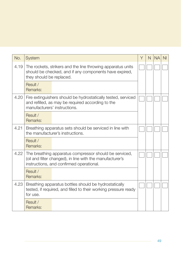| No.  | System                                                                                                                                                          | Y | N | <b>NA</b> | N <sub>l</sub> |
|------|-----------------------------------------------------------------------------------------------------------------------------------------------------------------|---|---|-----------|----------------|
| 4.19 | The rockets, strikers and the line throwing apparatus units<br>should be checked, and if any components have expired,<br>they should be replaced.               |   |   |           |                |
|      | Result /<br>Remarks:                                                                                                                                            |   |   |           |                |
| 4.20 | Fire extinguishers should be hydrostatically tested, serviced<br>and refilled, as may be required according to the<br>manufacturers' instructions.              |   |   |           |                |
|      | Result /<br>Remarks:                                                                                                                                            |   |   |           |                |
| 4.21 | Breathing apparatus sets should be serviced in line with<br>the manufacturer's instructions.                                                                    |   |   |           |                |
|      | Result /<br>Remarks:                                                                                                                                            |   |   |           |                |
| 4.22 | The breathing apparatus compressor should be serviced,<br>(oil and filter changed), in line with the manufacturer's<br>instructions, and confirmed operational. |   |   |           |                |
|      | Result /<br>Remarks:                                                                                                                                            |   |   |           |                |
| 4.23 | Breathing apparatus bottles should be hydrostatically<br>tested, if required, and filled to their working pressure ready<br>for use.                            |   |   |           |                |
|      | Result /<br>Remarks:                                                                                                                                            |   |   |           |                |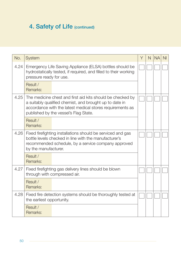# 4. Safety of Life (continued)

| No.  | System                                                                                                                                                                                                                      | Υ | N | <b>NA</b> | N <sub>l</sub> |
|------|-----------------------------------------------------------------------------------------------------------------------------------------------------------------------------------------------------------------------------|---|---|-----------|----------------|
| 4.24 | Emergency Life Saving Appliance (ELSA) bottles should be<br>hydrostatically tested, if required, and filled to their working<br>pressure ready for use.                                                                     |   |   |           |                |
|      | Result /<br>Remarks:                                                                                                                                                                                                        |   |   |           |                |
| 4.25 | The medicine chest and first aid kits should be checked by<br>a suitably qualified chemist, and brought up to date in<br>accordance with the latest medical stores requirements as<br>published by the vessel's Flag State. |   |   |           |                |
|      | Result /<br>Remarks:                                                                                                                                                                                                        |   |   |           |                |
| 4.26 | Fixed firefighting installations should be serviced and gas<br>bottle levels checked in line with the manufacturer's<br>recommended schedule, by a service company approved<br>by the manufacturer.                         |   |   |           |                |
|      | Result /<br>Remarks:                                                                                                                                                                                                        |   |   |           |                |
| 4.27 | Fixed firefighting gas delivery lines should be blown<br>through with compressed air.                                                                                                                                       |   |   |           |                |
|      | Result /<br>Remarks:                                                                                                                                                                                                        |   |   |           |                |
| 4.28 | Fixed fire detection systems should be thoroughly tested at<br>the earliest opportunity.                                                                                                                                    |   |   |           |                |
|      | Result /<br>Remarks:                                                                                                                                                                                                        |   |   |           |                |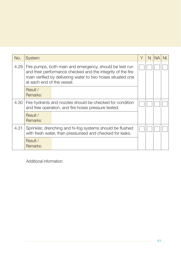| No.  | <b>System</b>                                                                                                                                                                                                       | Υ | N | <b>NA</b> | NI. |
|------|---------------------------------------------------------------------------------------------------------------------------------------------------------------------------------------------------------------------|---|---|-----------|-----|
| 4.29 | Fire pumps, both main and emergency, should be test run<br>and their performance checked and the integrity of the fire<br>main verified by delivering water to two hoses situated one<br>at each end of the vessel. |   |   |           |     |
|      | Result /<br>Remarks:                                                                                                                                                                                                |   |   |           |     |
| 4.30 | Fire hydrants and nozzles should be checked for condition<br>and free operation, and fire hoses pressure tested.                                                                                                    |   |   |           |     |
|      | Result /<br>Remarks:                                                                                                                                                                                                |   |   |           |     |
| 4.31 | Sprinkler, drenching and hi-fog systems should be flushed<br>with fresh water, then pressurised and checked for leaks.                                                                                              |   |   |           |     |
|      | Result /<br>Remarks:                                                                                                                                                                                                |   |   |           |     |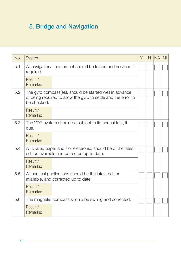# 5. Bridge and Navigation

| No. | System                                                                                                                                   | Y | N | <b>NA</b> | N <sub>l</sub> |
|-----|------------------------------------------------------------------------------------------------------------------------------------------|---|---|-----------|----------------|
| 5.1 | All navigational equipment should be tested and serviced if<br>required.                                                                 |   |   |           |                |
|     | Result /<br>Remarks:                                                                                                                     |   |   |           |                |
| 5.2 | The gyro compass(es), should be started well in advance<br>of being required to allow the gyro to settle and the error to<br>be checked. |   |   |           |                |
|     | Result /<br>Remarks:                                                                                                                     |   |   |           |                |
| 5.3 | The VDR system should be subject to its annual test, if<br>due.                                                                          |   |   |           |                |
|     | Result /<br>Remarks:                                                                                                                     |   |   |           |                |
| 5.4 | All charts, paper and / or electronic, should be of the latest<br>edition available and corrected up to date.                            |   |   |           |                |
|     | Result /<br>Remarks:                                                                                                                     |   |   |           |                |
| 5.5 | All nautical publications should be the latest edition<br>available, and corrected up to date.                                           |   |   |           |                |
|     | Result /<br>Remarks:                                                                                                                     |   |   |           |                |
| 5.6 | The magnetic compass should be swung and corrected.                                                                                      |   |   |           |                |
|     | Result /<br>Remarks:                                                                                                                     |   |   |           |                |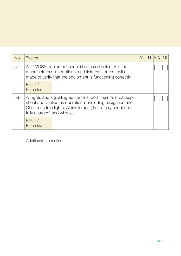| No. | <b>System</b>                                                                                                                                                                                                           | Υ | N |  |
|-----|-------------------------------------------------------------------------------------------------------------------------------------------------------------------------------------------------------------------------|---|---|--|
| 5.7 | All GMDSS equipment should be tested in line with the<br>manufacturer's instructions, and link tests or test calls<br>made to verify that the equipment is functioning correctly.                                       |   |   |  |
|     | Result /<br>Remarks:                                                                                                                                                                                                    |   |   |  |
| 5.8 | All lights and signalling equipment, both main and backup,<br>should be verified as operational, including navigation and<br>Christmas tree lights, Aldiss lamps (the battery should be<br>fully charged) and whistles. |   |   |  |
|     | Result /<br>Remarks:                                                                                                                                                                                                    |   |   |  |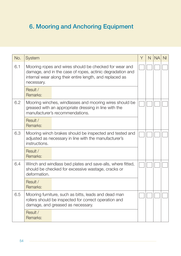# 6. Mooring and Anchoring Equipment

| No. | System                                                                                                                                                                                        | Y | N. | <b>NA</b> | N <sub>l</sub> |
|-----|-----------------------------------------------------------------------------------------------------------------------------------------------------------------------------------------------|---|----|-----------|----------------|
| 6.1 | Mooring ropes and wires should be checked for wear and<br>damage, and in the case of ropes, actinic degradation and<br>internal wear along their entire length, and replaced as<br>necessary. |   |    |           |                |
|     | Result /<br>Remarks:                                                                                                                                                                          |   |    |           |                |
| 6.2 | Mooring winches, windlasses and mooring wires should be<br>greased with an appropriate dressing in line with the<br>manufacturer's recommendations.                                           |   |    |           |                |
|     | Result /<br>Remarks:                                                                                                                                                                          |   |    |           |                |
| 6.3 | Mooring winch brakes should be inspected and tested and<br>adjusted as necessary in line with the manufacturer's<br>instructions.                                                             |   |    |           |                |
|     | Result /<br>Remarks:                                                                                                                                                                          |   |    |           |                |
| 6.4 | Winch and windlass bed plates and save-alls, where fitted,<br>should be checked for excessive wastage, cracks or<br>deformation.                                                              |   |    |           |                |
|     | Result /<br>Remarks:                                                                                                                                                                          |   |    |           |                |
| 6.5 | Mooring furniture, such as bitts, leads and dead man<br>rollers should be inspected for correct operation and<br>damage, and greased as necessary.                                            |   |    |           |                |
|     | Result /<br>Remarks:                                                                                                                                                                          |   |    |           |                |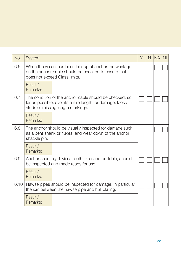| No.  | System                                                                                                                                                    | Υ |  | N. | <b>NA</b> | N <sub>l</sub> |
|------|-----------------------------------------------------------------------------------------------------------------------------------------------------------|---|--|----|-----------|----------------|
| 6.6  | When the vessel has been laid-up at anchor the wastage<br>on the anchor cable should be checked to ensure that it<br>does not exceed Class limits.        |   |  |    |           |                |
|      | Result /<br>Remarks:                                                                                                                                      |   |  |    |           |                |
| 6.7  | The condition of the anchor cable should be checked, so<br>far as possible, over its entire length for damage, loose<br>studs or missing length markings. |   |  |    |           |                |
|      | Result /<br>Remarks:                                                                                                                                      |   |  |    |           |                |
| 6.8  | The anchor should be visually inspected for damage such<br>as a bent shank or flukes, and wear down of the anchor<br>shackle pin.                         |   |  |    |           |                |
|      | Result /<br>Remarks:                                                                                                                                      |   |  |    |           |                |
| 6.9  | Anchor securing devices, both fixed and portable, should<br>be inspected and made ready for use.                                                          |   |  |    |           |                |
|      | Result /<br>Remarks:                                                                                                                                      |   |  |    |           |                |
| 6.10 | Hawse pipes should be inspected for damage, in particular<br>the join between the hawse pipe and hull plating.                                            |   |  |    |           |                |
|      | Result /<br>Remarks:                                                                                                                                      |   |  |    |           |                |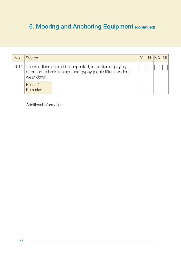# **6. Mooring and Anchoring Equipment (continued)**

| No. | <b>System</b>                                                                                                                              |  | $N$ $NA$ $N$ |  |
|-----|--------------------------------------------------------------------------------------------------------------------------------------------|--|--------------|--|
|     | 6.11 The windlass should be inspected, in particular paying<br>attention to brake linings and gypsy (cable lifter / wildcat)<br>wear down. |  |              |  |
|     | Result /<br>Remarks:                                                                                                                       |  |              |  |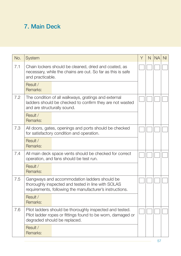## 7. Main Deck

| No. | System                                                                                                                                                         | Y | N | <b>NA</b> | N <sub>l</sub> |
|-----|----------------------------------------------------------------------------------------------------------------------------------------------------------------|---|---|-----------|----------------|
| 7.1 | Chain lockers should be cleaned, dried and coated, as<br>necessary, while the chains are out. So far as this is safe<br>and practicable.                       |   |   |           |                |
|     | Result /<br>Remarks:                                                                                                                                           |   |   |           |                |
| 7.2 | The condition of all walkways, gratings and external<br>ladders should be checked to confirm they are not wasted<br>and are structurally sound.                |   |   |           |                |
|     | Result /<br>Remarks:                                                                                                                                           |   |   |           |                |
| 7.3 | All doors, gates, openings and ports should be checked<br>for satisfactory condition and operation.                                                            |   |   |           |                |
|     | Result /<br>Remarks:                                                                                                                                           |   |   |           |                |
| 7.4 | All main deck space vents should be checked for correct<br>operation, and fans should be test run.                                                             |   |   |           |                |
|     | Result /<br>Remarks:                                                                                                                                           |   |   |           |                |
| 7.5 | Gangways and accommodation ladders should be<br>thoroughly inspected and tested in line with SOLAS<br>requirements, following the manufacturer's instructions. |   |   |           |                |
|     | Result /<br>Remarks:                                                                                                                                           |   |   |           |                |
| 7.6 | Pilot ladders should be thoroughly inspected and tested.<br>Pilot ladder ropes or fittings found to be worn, damaged or<br>degraded should be replaced.        |   |   |           |                |
|     | Result /<br>Remarks:                                                                                                                                           |   |   |           |                |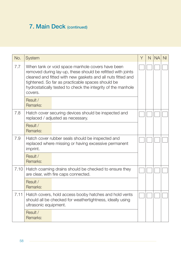# 7. Main Deck (continued)

| No.  | System                                                                                                                                                                                                                                                                                                         | Υ | N | <b>NA</b> | N <sub>l</sub> |
|------|----------------------------------------------------------------------------------------------------------------------------------------------------------------------------------------------------------------------------------------------------------------------------------------------------------------|---|---|-----------|----------------|
| 7.7  | When tank or void space manhole covers have been<br>removed during lay-up, these should be refitted with joints<br>cleaned and fitted with new gaskets and all nuts fitted and<br>tightened. So far as practicable spaces should be<br>hydrostatically tested to check the integrity of the manhole<br>covers. |   |   |           |                |
|      | Result /<br>Remarks:                                                                                                                                                                                                                                                                                           |   |   |           |                |
| 7.8  | Hatch cover securing devices should be inspected and<br>replaced / adjusted as necessary.                                                                                                                                                                                                                      |   |   |           |                |
|      | Result /<br>Remarks:                                                                                                                                                                                                                                                                                           |   |   |           |                |
| 7.9  | Hatch cover rubber seals should be inspected and<br>replaced where missing or having excessive permanent<br>imprint.                                                                                                                                                                                           |   |   |           |                |
|      | Result /<br>Remarks:                                                                                                                                                                                                                                                                                           |   |   |           |                |
| 7.10 | Hatch coaming drains should be checked to ensure they<br>are clear, with fire caps connected.                                                                                                                                                                                                                  |   |   |           |                |
|      | Result /<br>Remarks:                                                                                                                                                                                                                                                                                           |   |   |           |                |
| 7.11 | Hatch covers, hold access booby hatches and hold vents<br>should all be checked for weathertightness, ideally using<br>ultrasonic equipment.                                                                                                                                                                   |   |   |           |                |
|      | Result /<br>Remarks:                                                                                                                                                                                                                                                                                           |   |   |           |                |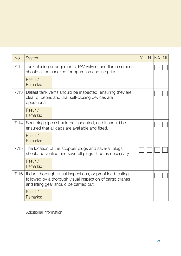| No.  | <b>System</b>                                                                                                                                                     | Υ | N | <b>NA</b> | N <sub>l</sub> |
|------|-------------------------------------------------------------------------------------------------------------------------------------------------------------------|---|---|-----------|----------------|
| 7.12 | Tank closing arrangements, P/V valves, and flame screens<br>should all be checked for operation and integrity.                                                    |   |   |           |                |
|      | Result /<br>Remarks:                                                                                                                                              |   |   |           |                |
| 7.13 | Ballast tank vents should be inspected, ensuring they are<br>clear of debris and that self-closing devices are<br>operational.                                    |   |   |           |                |
|      | Result /<br>Remarks:                                                                                                                                              |   |   |           |                |
| 7.14 | Sounding pipes should be inspected, and it should be<br>ensured that all caps are available and fitted.                                                           |   |   |           |                |
|      | Result /<br>Remarks:                                                                                                                                              |   |   |           |                |
| 7.15 | The location of the scupper plugs and save-all plugs<br>should be verified and save-all plugs fitted as necessary.                                                |   |   |           |                |
|      | Result /<br>Remarks:                                                                                                                                              |   |   |           |                |
| 7.16 | If due, thorough visual inspections, or proof load testing<br>followed by a thorough visual inspection of cargo cranes<br>and lifting gear should be carried out. |   |   |           |                |
|      | Result /<br>Remarks:                                                                                                                                              |   |   |           |                |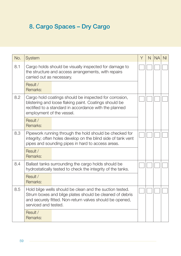# 8. Cargo Spaces – Dry Cargo

| No. | System                                                                                                                                                                                                   | Y | N | <b>NA</b> | N <sub>l</sub> |
|-----|----------------------------------------------------------------------------------------------------------------------------------------------------------------------------------------------------------|---|---|-----------|----------------|
| 8.1 | Cargo holds should be visually inspected for damage to<br>the structure and access arrangements, with repairs<br>carried out as necessary.                                                               |   |   |           |                |
|     | Result /<br>Remarks:                                                                                                                                                                                     |   |   |           |                |
| 8.2 | Cargo hold coatings should be inspected for corrosion,<br>blistering and loose flaking paint. Coatings should be<br>rectified to a standard in accordance with the planned<br>employment of the vessel.  |   |   |           |                |
|     | Result /<br>Remarks:                                                                                                                                                                                     |   |   |           |                |
| 8.3 | Pipework running through the hold should be checked for<br>integrity; often holes develop on the blind side of tank vent<br>pipes and sounding pipes in hard to access areas.                            |   |   |           |                |
|     | Result /<br>Remarks:                                                                                                                                                                                     |   |   |           |                |
| 8.4 | Ballast tanks surrounding the cargo holds should be<br>hydrostatically tested to check the integrity of the tanks.                                                                                       |   |   |           |                |
|     | Result /<br>Remarks:                                                                                                                                                                                     |   |   |           |                |
| 8.5 | Hold bilge wells should be clean and the suction tested.<br>Strum boxes and bilge plates should be cleaned of debris<br>and securely fitted. Non-return valves should be opened,<br>serviced and tested. |   |   |           |                |
|     | Result /<br>Remarks:                                                                                                                                                                                     |   |   |           |                |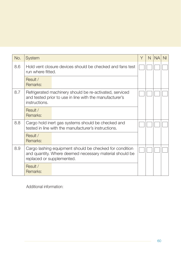| No. | System                                                                                                                                          | Y | N | <b>NA</b> | NI. |
|-----|-------------------------------------------------------------------------------------------------------------------------------------------------|---|---|-----------|-----|
| 8.6 | Hold vent closure devices should be checked and fans test<br>run where fitted.                                                                  |   |   |           |     |
|     | Result /<br>Remarks:                                                                                                                            |   |   |           |     |
| 8.7 | Refrigerated machinery should be re-activated, serviced<br>and tested prior to use in line with the manufacturer's<br>instructions.             |   |   |           |     |
|     | Result /<br>Remarks:                                                                                                                            |   |   |           |     |
| 8.8 | Cargo hold inert gas systems should be checked and<br>tested in line with the manufacturer's instructions.                                      |   |   |           |     |
|     | Result /<br>Remarks:                                                                                                                            |   |   |           |     |
| 8.9 | Cargo lashing equipment should be checked for condition<br>and quantity. Where deemed necessary material should be<br>replaced or supplemented. |   |   |           |     |
|     | Result /<br>Remarks:                                                                                                                            |   |   |           |     |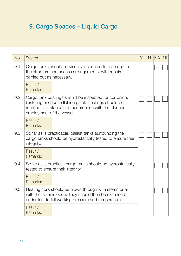# 9. Cargo Spaces – Liquid Cargo

| No. | System                                                                                                                                                                                                  | Υ | N | <b>NA</b> | N <sub>l</sub> |
|-----|---------------------------------------------------------------------------------------------------------------------------------------------------------------------------------------------------------|---|---|-----------|----------------|
| 9.1 | Cargo tanks should be visually inspected for damage to<br>the structure and access arrangements, with repairs<br>carried out as necessary.                                                              |   |   |           |                |
|     | Result /<br>Remarks:                                                                                                                                                                                    |   |   |           |                |
| 9.2 | Cargo tank coatings should be inspected for corrosion,<br>blistering and loose flaking paint. Coatings should be<br>rectified to a standard in accordance with the planned<br>employment of the vessel. |   |   |           |                |
|     | Result /<br>Remarks:                                                                                                                                                                                    |   |   |           |                |
| 9.3 | So far as is practicable, ballast tanks surrounding the<br>cargo tanks should be hydrostatically tested to ensure their<br>integrity.                                                                   |   |   |           |                |
|     | Result /<br>Remarks:                                                                                                                                                                                    |   |   |           |                |
| 9.4 | So far as is practical, cargo tanks should be hydrostatically<br>tested to ensure their integrity.                                                                                                      |   |   |           |                |
|     | Result /<br>Remarks:                                                                                                                                                                                    |   |   |           |                |
| 9.5 | Heating coils should be blown through with steam or air<br>with their drains open. They should then be examined<br>under test to full working pressure and temperature.                                 |   |   |           |                |
|     | Result /<br>Remarks:                                                                                                                                                                                    |   |   |           |                |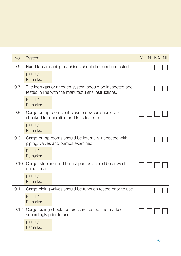| No.  | System                                                                                                           | Y | N | <b>NA</b> | N <sub>l</sub> |
|------|------------------------------------------------------------------------------------------------------------------|---|---|-----------|----------------|
| 9.6  | Fixed tank cleaning machines should be function tested.                                                          |   |   |           |                |
|      | Result /<br>Remarks:                                                                                             |   |   |           |                |
| 9.7  | The inert gas or nitrogen system should be inspected and<br>tested in line with the manufacturer's instructions. |   |   |           |                |
|      | Result /<br>Remarks:                                                                                             |   |   |           |                |
| 9.8  | Cargo pump room vent closure devices should be<br>checked for operation and fans test run.                       |   |   |           |                |
|      | Result /<br>Remarks:                                                                                             |   |   |           |                |
| 9.9  | Cargo pump rooms should be internally inspected with<br>piping, valves and pumps examined.                       |   |   |           |                |
|      | Result /<br>Remarks:                                                                                             |   |   |           |                |
| 9.10 | Cargo, stripping and ballast pumps should be proved<br>operational.                                              |   |   |           |                |
|      | Result /<br>Remarks:                                                                                             |   |   |           |                |
| 9.11 | Cargo piping valves should be function tested prior to use.                                                      |   |   |           |                |
|      | Result /<br>Remarks:                                                                                             |   |   |           |                |
| 9.12 | Cargo piping should be pressure tested and marked<br>accordingly prior to use.                                   |   |   |           |                |
|      | Result /<br>Remarks:                                                                                             |   |   |           |                |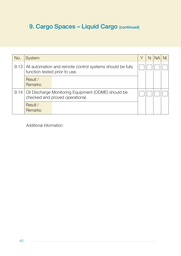# 9. Cargo Spaces - Liquid Cargo (continued)

| No.  | <b>System</b>                                                                              | N | <b>NA</b> | N <sub>II</sub> |
|------|--------------------------------------------------------------------------------------------|---|-----------|-----------------|
| 9.13 | All automation and remote control systems should be fully<br>function tested prior to use. |   |           |                 |
|      | Result /<br>Remarks:                                                                       |   |           |                 |
| 9.14 | Oil Discharge Monitoring Equipment (ODME) should be<br>checked and proved operational.     |   |           |                 |
|      | Result /<br>Remarks:                                                                       |   |           |                 |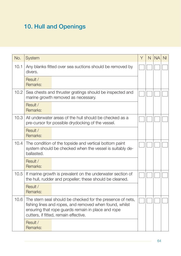# 10. Hull and Openings

| No.  | System                                                                                                                                                                                                               | Y | N | <b>NA</b> | N <sub>l</sub> |
|------|----------------------------------------------------------------------------------------------------------------------------------------------------------------------------------------------------------------------|---|---|-----------|----------------|
| 10.1 | Any blanks fitted over sea suctions should be removed by<br>divers.                                                                                                                                                  |   |   |           |                |
|      | Result /<br>Remarks:                                                                                                                                                                                                 |   |   |           |                |
| 10.2 | Sea chests and thruster gratings should be inspected and<br>marine growth removed as necessary.                                                                                                                      |   |   |           |                |
|      | Result /<br>Remarks:                                                                                                                                                                                                 |   |   |           |                |
| 10.3 | All underwater areas of the hull should be checked as a<br>pre-cursor for possible drydocking of the vessel.                                                                                                         |   |   |           |                |
|      | Result /<br>Remarks:                                                                                                                                                                                                 |   |   |           |                |
| 10.4 | The condition of the topside and vertical bottom paint<br>system should be checked when the vessel is suitably de-<br>ballasted.                                                                                     |   |   |           |                |
|      | Result /<br>Remarks:                                                                                                                                                                                                 |   |   |           |                |
| 10.5 | If marine growth is prevalent on the underwater section of<br>the hull, rudder and propeller; these should be cleaned.                                                                                               |   |   |           |                |
|      | Result /<br>Remarks:                                                                                                                                                                                                 |   |   |           |                |
| 10.6 | The stern seal should be checked for the presence of nets,<br>fishing lines and ropes, and removed when found, whilst<br>ensuring that rope guards remain in place and rope<br>cutters, if fitted, remain effective. |   |   |           |                |
|      | Result /<br>Remarks:                                                                                                                                                                                                 |   |   |           |                |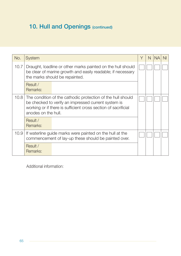# 10. Hull and Openings (continued)

| No.  | System                                                                                                                                                                                                      | Υ | N | <b>NA</b> | N <sub>l</sub> |
|------|-------------------------------------------------------------------------------------------------------------------------------------------------------------------------------------------------------------|---|---|-----------|----------------|
| 10.7 | Draught, loadline or other marks painted on the hull should<br>be clear of marine growth and easily readable; if necessary<br>the marks should be repainted.                                                |   |   |           |                |
|      | Result /<br>Remarks:                                                                                                                                                                                        |   |   |           |                |
| 10.8 | The condition of the cathodic protection of the hull should<br>be checked to verify an impressed current system is<br>working or if there is sufficient cross section of sacrificial<br>anodes on the hull. |   |   |           |                |
|      | Result /<br>Remarks:                                                                                                                                                                                        |   |   |           |                |
| 10.9 | If waterline guide marks were painted on the hull at the<br>commencement of lay-up these should be painted over.                                                                                            |   |   |           |                |
|      | Result /<br>Remarks:                                                                                                                                                                                        |   |   |           |                |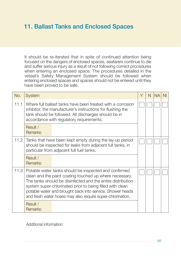### 11. Ballast Tanks and Enclosed Spaces

It should be re-iterated that in spite of continued attention being focused on the dangers of enclosed spaces, seafarers continue to die and suffer serious injury as a result of not following correct procedures when entering an enclosed space. The procedures detailed in the vessel's Safety Management System should be followed when entering enclosed spaces and spaces should not be entered until they have been proved to be safe.

| No.  | System                                                                                                                                                                                                                                                                                                                                                                  | Υ | N | <b>NA</b> | NI |
|------|-------------------------------------------------------------------------------------------------------------------------------------------------------------------------------------------------------------------------------------------------------------------------------------------------------------------------------------------------------------------------|---|---|-----------|----|
| 11.1 | Where full ballast tanks have been treated with a corrosion<br>inhibitor, the manufacturer's instructions for flushing the<br>tank should be followed. All discharges should be in<br>accordance with regulatory requirements.                                                                                                                                          |   |   |           |    |
|      | Result /<br>Remarks:                                                                                                                                                                                                                                                                                                                                                    |   |   |           |    |
| 11.2 | Tanks that have been kept empty during the lay-up period<br>should be inspected for leaks from adjacent full tanks, in<br>particular from adjacent full fuel tanks.                                                                                                                                                                                                     |   |   |           |    |
|      | Result /<br>Remarks:                                                                                                                                                                                                                                                                                                                                                    |   |   |           |    |
| 11.3 | Potable water tanks should be inspected and confirmed<br>clean and the paint coating touched up where necessary.<br>The tanks should be disinfected and the entire distribution<br>system super-chlorinated prior to being filled with clean<br>potable water and brought back into service. Shower heads<br>and fresh water hoses may also require super-chlorination. |   |   |           |    |
|      | Result /<br>Remarks:                                                                                                                                                                                                                                                                                                                                                    |   |   |           |    |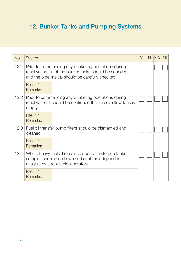# 12. Bunker Tanks and Pumping Systems

| No.  | System                                                                                                                                                              | Υ | N | <b>NA</b> | NI. |
|------|---------------------------------------------------------------------------------------------------------------------------------------------------------------------|---|---|-----------|-----|
| 12.1 | Prior to commencing any bunkering operations during<br>reactivation, all of the bunker tanks should be sounded<br>and the pipe line up should be carefully checked. |   |   |           |     |
|      | Result /<br>Remarks:                                                                                                                                                |   |   |           |     |
| 12.2 | Prior to commencing any bunkering operations during<br>reactivation it should be confirmed that the overflow tank is<br>empty.                                      |   |   |           |     |
|      | Result /<br>Remarks:                                                                                                                                                |   |   |           |     |
| 12.3 | Fuel oil transfer pump filters should be dismantled and<br>cleaned.                                                                                                 |   |   |           |     |
|      | Result /<br>Remarks:                                                                                                                                                |   |   |           |     |
| 12.4 | Where heavy fuel oil remains onboard in storage tanks,<br>samples should be drawn and sent for independent<br>analysis by a reputable laboratory.                   |   |   |           |     |
|      | Result /<br>Remarks:                                                                                                                                                |   |   |           |     |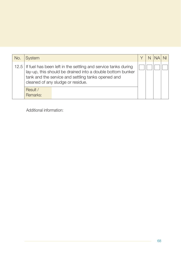| No. | System                                                                                                                                                                                                                         | N | NII |
|-----|--------------------------------------------------------------------------------------------------------------------------------------------------------------------------------------------------------------------------------|---|-----|
|     | 12.5   If fuel has been left in the settling and service tanks during<br>lay-up, this should be drained into a double bottom bunker<br>tank and the service and settling tanks opened and<br>cleaned of any sludge or residue. |   |     |
|     | Result /<br>Remarks:                                                                                                                                                                                                           |   |     |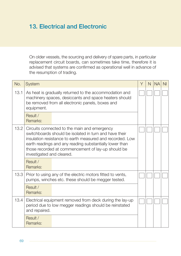### 13. Electrical and Electronic

On older vessels, the sourcing and delivery of spare parts, in particular replacement circuit boards, can sometimes take time, therefore it is advised that systems are confirmed as operational well in advance of the resumption of trading.

| No.  | System                                                                                                                                                                                                                                                                                                            | Υ | N | <b>NA</b> | N <sub>l</sub> |
|------|-------------------------------------------------------------------------------------------------------------------------------------------------------------------------------------------------------------------------------------------------------------------------------------------------------------------|---|---|-----------|----------------|
| 13.1 | As heat is gradually returned to the accommodation and<br>machinery spaces, desiccants and space heaters should<br>be removed from all electronic panels, boxes and<br>equipment.                                                                                                                                 |   |   |           |                |
|      | Result /<br>Remarks:                                                                                                                                                                                                                                                                                              |   |   |           |                |
| 13.2 | Circuits connected to the main and emergency<br>switchboards should be isolated in turn and have their<br>insulation resistance to earth measured and recorded. Low<br>earth readings and any reading substantially lower than<br>those recorded at commencement of lay-up should be<br>investigated and cleared. |   |   |           |                |
|      | Result /<br>Remarks:                                                                                                                                                                                                                                                                                              |   |   |           |                |
|      | 13.3 Prior to using any of the electric motors fitted to vents,<br>pumps, winches etc. these should be megger tested.                                                                                                                                                                                             |   |   |           |                |
|      | Result /<br>Remarks:                                                                                                                                                                                                                                                                                              |   |   |           |                |
| 13.4 | Electrical equipment removed from deck during the lay-up<br>period due to low megger readings should be reinstated<br>and repaired.                                                                                                                                                                               |   |   |           |                |
|      | Result /<br>Remarks:                                                                                                                                                                                                                                                                                              |   |   |           |                |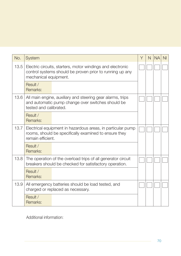| No.  | System                                                                                                                                          | Υ | N. | <b>NA</b> | N <sub>l</sub> |
|------|-------------------------------------------------------------------------------------------------------------------------------------------------|---|----|-----------|----------------|
| 13.5 | Electric circuits, starters, motor windings and electronic<br>control systems should be proven prior to running up any<br>mechanical equipment. |   |    |           |                |
|      | Result /<br>Remarks:                                                                                                                            |   |    |           |                |
| 13.6 | All main engine, auxiliary and steering gear alarms, trips<br>and automatic pump change over switches should be<br>tested and calibrated.       |   |    |           |                |
|      | Result /<br>Remarks:                                                                                                                            |   |    |           |                |
| 13.7 | Electrical equipment in hazardous areas, in particular pump<br>rooms, should be specifically examined to ensure they<br>remain efficient.       |   |    |           |                |
|      | Result /<br>Remarks:                                                                                                                            |   |    |           |                |
| 13.8 | The operation of the overload trips of all generator circuit<br>breakers should be checked for satisfactory operation.                          |   |    |           |                |
|      | Result /<br>Remarks:                                                                                                                            |   |    |           |                |
| 13.9 | All emergency batteries should be load tested, and<br>charged or replaced as necessary.                                                         |   |    |           |                |
|      | Result /<br>Remarks:                                                                                                                            |   |    |           |                |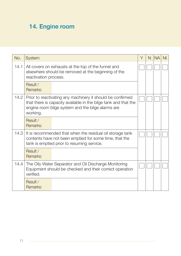# 14. Engine room

| No.  | <b>System</b>                                                                                                                                                                                  | Υ | N | <b>NA</b> | NI. |
|------|------------------------------------------------------------------------------------------------------------------------------------------------------------------------------------------------|---|---|-----------|-----|
| 14.1 | All covers on exhausts at the top of the funnel and<br>elsewhere should be removed at the beginning of the<br>reactivation process.                                                            |   |   |           |     |
|      | Result /<br>Remarks:                                                                                                                                                                           |   |   |           |     |
| 14.2 | Prior to reactivating any machinery it should be confirmed<br>that there is capacity available in the bilge tank and that the<br>engine room bilge system and the bilge alarms are<br>working. |   |   |           |     |
|      | Result /<br>Remarks:                                                                                                                                                                           |   |   |           |     |
| 14.3 | It is recommended that when the residual oil storage tank<br>contents have not been emptied for some time, that the<br>tank is emptied prior to resuming service.                              |   |   |           |     |
|      | Result /<br>Remarks:                                                                                                                                                                           |   |   |           |     |
| 14.4 | The Oily Water Separator and Oil Discharge Monitoring<br>Equipment should be checked and their correct operation<br>verified.                                                                  |   |   |           |     |
|      | Result /<br>Remarks:                                                                                                                                                                           |   |   |           |     |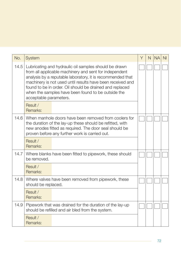| No.  | System                                                                                                                                                                                                                                                                                                                                                                                  | Y | N. | <b>NA</b> | N <sub>l</sub> |
|------|-----------------------------------------------------------------------------------------------------------------------------------------------------------------------------------------------------------------------------------------------------------------------------------------------------------------------------------------------------------------------------------------|---|----|-----------|----------------|
| 14.5 | Lubricating and hydraulic oil samples should be drawn<br>from all applicable machinery and sent for independent<br>analysis by a reputable laboratory, it is recommended that<br>machinery is not used until results have been received and<br>found to be in order. Oil should be drained and replaced<br>when the samples have been found to be outside the<br>acceptable parameters. |   |    |           |                |
|      | Result /<br>Remarks:                                                                                                                                                                                                                                                                                                                                                                    |   |    |           |                |
| 14.6 | When manhole doors have been removed from coolers for<br>the duration of the lay-up these should be refitted, with<br>new anodes fitted as required. The door seal should be<br>proven before any further work is carried out.                                                                                                                                                          |   |    |           |                |
|      | Result /<br>Remarks:                                                                                                                                                                                                                                                                                                                                                                    |   |    |           |                |
| 14.7 | Where blanks have been fitted to pipework, these should<br>be removed.                                                                                                                                                                                                                                                                                                                  |   |    |           |                |
|      | Result /<br>Remarks:                                                                                                                                                                                                                                                                                                                                                                    |   |    |           |                |
| 14.8 | Where valves have been removed from pipework, these<br>should be replaced.                                                                                                                                                                                                                                                                                                              |   |    |           |                |
|      | Result /<br>Remarks:                                                                                                                                                                                                                                                                                                                                                                    |   |    |           |                |
| 14.9 | Pipework that was drained for the duration of the lay-up<br>should be refilled and air bled from the system.                                                                                                                                                                                                                                                                            |   |    |           |                |
|      | Result /<br>Remarks:                                                                                                                                                                                                                                                                                                                                                                    |   |    |           |                |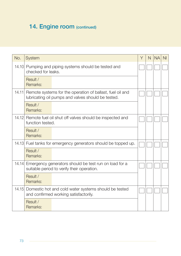# 14. Engine room (continued)

| No.   | System                                                                                                                | Υ | N | <b>NA</b> | N <sub>l</sub> |
|-------|-----------------------------------------------------------------------------------------------------------------------|---|---|-----------|----------------|
|       | 14.10 Pumping and piping systems should be tested and<br>checked for leaks.                                           |   |   |           |                |
|       | Result /<br>Remarks:                                                                                                  |   |   |           |                |
|       | 14.11 Remote systems for the operation of ballast, fuel oil and<br>lubricating oil pumps and valves should be tested. |   |   |           |                |
|       | Result /<br>Remarks:                                                                                                  |   |   |           |                |
| 14.12 | Remote fuel oil shut off valves should be inspected and<br>function tested.                                           |   |   |           |                |
|       | Result /<br>Remarks:                                                                                                  |   |   |           |                |
|       | 14.13 Fuel tanks for emergency generators should be topped up.                                                        |   |   |           |                |
|       | Result /<br>Remarks:                                                                                                  |   |   |           |                |
| 14.14 | Emergency generators should be test run on load for a<br>suitable period to verify their operation.                   |   |   |           |                |
|       | Result /<br>Remarks:                                                                                                  |   |   |           |                |
| 14.15 | Domestic hot and cold water systems should be tested<br>and confirmed working satisfactorily.                         |   |   |           |                |
|       | Result /<br>Remarks:                                                                                                  |   |   |           |                |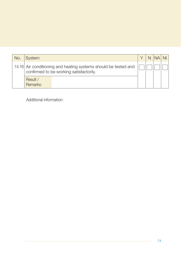| No. | System                                                                                                     |  | $N$ $NA$ $N$ |  |
|-----|------------------------------------------------------------------------------------------------------------|--|--------------|--|
|     | 14.16 Air conditioning and heating systems should be tested and<br>confirmed to be working satisfactorily. |  |              |  |
|     | Result /<br>Remarks:                                                                                       |  |              |  |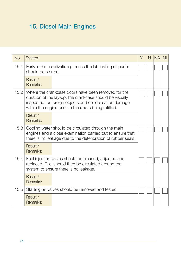# 15. Diesel Main Engines

| No.  | System                                                                                                                                                                                                                           | Υ | N | <b>NA</b> | N <sub>l</sub> |
|------|----------------------------------------------------------------------------------------------------------------------------------------------------------------------------------------------------------------------------------|---|---|-----------|----------------|
| 15.1 | Early in the reactivation process the lubricating oil purifier<br>should be started.                                                                                                                                             |   |   |           |                |
|      | Result /<br>Remarks:                                                                                                                                                                                                             |   |   |           |                |
| 15.2 | Where the crankcase doors have been removed for the<br>duration of the lay-up, the crankcase should be visually<br>inspected for foreign objects and condensation damage<br>within the engine prior to the doors being refitted. |   |   |           |                |
|      | Result /<br>Remarks:                                                                                                                                                                                                             |   |   |           |                |
| 15.3 | Cooling water should be circulated through the main<br>engines and a close examination carried out to ensure that<br>there is no leakage due to the deterioration of rubber seals.                                               |   |   |           |                |
|      | Result /<br>Remarks:                                                                                                                                                                                                             |   |   |           |                |
| 15.4 | Fuel injection valves should be cleaned, adjusted and<br>replaced. Fuel should then be circulated around the<br>system to ensure there is no leakage.                                                                            |   |   |           |                |
|      | Result /<br>Remarks:                                                                                                                                                                                                             |   |   |           |                |
| 15.5 | Starting air valves should be removed and tested.                                                                                                                                                                                |   |   |           |                |
|      | Result /<br>Remarks:                                                                                                                                                                                                             |   |   |           |                |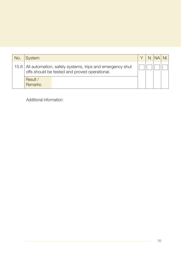| <b>No</b> | <b>System</b>        |                                                                                                                  |  | N INAI | N <sub>II</sub> |
|-----------|----------------------|------------------------------------------------------------------------------------------------------------------|--|--------|-----------------|
|           |                      | 15.6   All automation, safety systems, trips and emergency shut<br>offs should be tested and proved operational. |  |        |                 |
|           | Result /<br>Remarks: |                                                                                                                  |  |        |                 |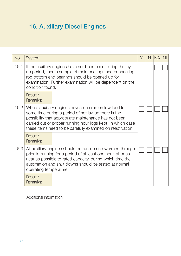# 16. Auxiliary Diesel Engines

| No.  | System                 |                                                                                                                                                                                                                                                                                                     | Y | N. | <b>NA</b> | N <sub>l</sub> |
|------|------------------------|-----------------------------------------------------------------------------------------------------------------------------------------------------------------------------------------------------------------------------------------------------------------------------------------------------|---|----|-----------|----------------|
| 16.1 | condition found.       | If the auxiliary engines have not been used during the lay-<br>up period, then a sample of main bearings and connecting<br>rod bottom end bearings should be opened up for<br>examination. Further examination will be dependent on the                                                             |   |    |           |                |
|      | Result /<br>Remarks:   |                                                                                                                                                                                                                                                                                                     |   |    |           |                |
| 16.2 |                        | Where auxiliary engines have been run on low load for<br>some time during a period of hot lay-up there is the<br>possibility that appropriate maintenance has not been<br>carried out or proper running hour logs kept. In which case<br>these items need to be carefully examined on reactivation. |   |    |           |                |
|      | Result /<br>Remarks:   |                                                                                                                                                                                                                                                                                                     |   |    |           |                |
| 16.3 | operating temperature. | All auxiliary engines should be run-up and warmed through<br>prior to running for a period of at least one hour, at or as<br>near as possible to rated capacity, during which time the<br>automation and shut downs should be tested at normal                                                      |   |    |           |                |
|      | Result /<br>Remarks:   |                                                                                                                                                                                                                                                                                                     |   |    |           |                |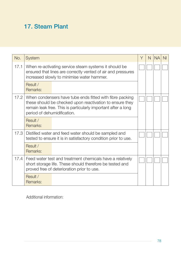### 17. Steam Plant

| No.  | <b>System</b>                                                                                                                                                                                                        | Υ | N | <b>NA</b> | ΝI |
|------|----------------------------------------------------------------------------------------------------------------------------------------------------------------------------------------------------------------------|---|---|-----------|----|
| 17.1 | When re-activating service steam systems it should be<br>ensured that lines are correctly vented of air and pressures<br>increased slowly to minimise water hammer.                                                  |   |   |           |    |
|      | Result /<br>Remarks:                                                                                                                                                                                                 |   |   |           |    |
| 17.2 | When condensers have tube ends fitted with fibre packing<br>these should be checked upon reactivation to ensure they<br>remain leak free. This is particularly important after a long<br>period of dehumidification. |   |   |           |    |
|      | Result /<br>Remarks:                                                                                                                                                                                                 |   |   |           |    |
| 17.3 | Distilled water and feed water should be sampled and<br>tested to ensure it is in satisfactory condition prior to use.                                                                                               |   |   |           |    |
|      | Result /<br>Remarks:                                                                                                                                                                                                 |   |   |           |    |
| 17.4 | Feed water test and treatment chemicals have a relatively<br>short storage life. These should therefore be tested and<br>proved free of deterioration prior to use.                                                  |   |   |           |    |
|      | Result /<br>Remarks:                                                                                                                                                                                                 |   |   |           |    |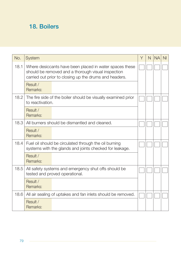### 18. Boilers

| No.  | System                                                                                                                                                                  | Y | N | <b>NA</b> | N <sub>l</sub> |
|------|-------------------------------------------------------------------------------------------------------------------------------------------------------------------------|---|---|-----------|----------------|
| 18.1 | Where desiccants have been placed in water spaces these<br>should be removed and a thorough visual inspection<br>carried out prior to closing up the drums and headers. |   |   |           |                |
|      | Result /<br>Remarks:                                                                                                                                                    |   |   |           |                |
| 18.2 | The fire side of the boiler should be visually examined prior<br>to reactivation.                                                                                       |   |   |           |                |
|      | Result /<br>Remarks:                                                                                                                                                    |   |   |           |                |
| 18.3 | All burners should be dismantled and cleaned.                                                                                                                           |   |   |           |                |
|      | Result /<br>Remarks:                                                                                                                                                    |   |   |           |                |
| 18.4 | Fuel oil should be circulated through the oil burning<br>systems with the glands and joints checked for leakage.                                                        |   |   |           |                |
|      | Result /<br>Remarks:                                                                                                                                                    |   |   |           |                |
| 18.5 | All safety systems and emergency shut offs should be<br>tested and proved operational.                                                                                  |   |   |           |                |
|      | Result /<br>Remarks:                                                                                                                                                    |   |   |           |                |
| 18.6 | All air sealing of uptakes and fan inlets should be removed.                                                                                                            |   |   |           |                |
|      | Result /<br>Remarks:                                                                                                                                                    |   |   |           |                |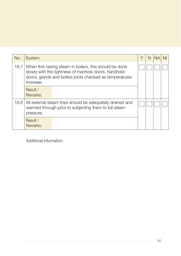| No.  | <b>System</b>        |                                                                                                                                                                             | Υ | N |  |
|------|----------------------|-----------------------------------------------------------------------------------------------------------------------------------------------------------------------------|---|---|--|
| 18.7 | increase.            | When first raising steam in boilers, this should be done<br>slowly with the tightness of manhole doors, handhold<br>doors, glands and bolted joints checked as temperatures |   |   |  |
|      | Result /<br>Remarks: |                                                                                                                                                                             |   |   |  |
| 18.8 | pressure.            | All external steam lines should be adequately drained and<br>warmed through prior to subjecting them to full steam                                                          |   |   |  |
|      | Result /<br>Remarks: |                                                                                                                                                                             |   |   |  |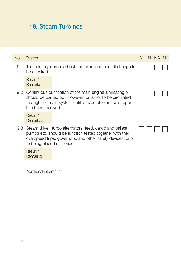### 19. Steam Turbines

| No.  | <b>System</b>                                                            |                                                                                                                                                                                                               | Υ | N | <b>NA</b> | N <sub>l</sub> |
|------|--------------------------------------------------------------------------|---------------------------------------------------------------------------------------------------------------------------------------------------------------------------------------------------------------|---|---|-----------|----------------|
| 19.1 | The bearing journals should be examined and oil change to<br>be checked. |                                                                                                                                                                                                               |   |   |           |                |
|      | Result /<br>Remarks:                                                     |                                                                                                                                                                                                               |   |   |           |                |
| 19.2 |                                                                          | Continuous purification of the main engine lubricating oil<br>should be carried out; however, oil is not to be circulated<br>through the main system until a favourable analysis report<br>has been received. |   |   |           |                |
|      | Result /<br>Remarks:                                                     |                                                                                                                                                                                                               |   |   |           |                |
| 19.3 | to being placed in service.                                              | Steam driven turbo alternators, feed, cargo and ballast<br>pumps etc. should be function tested together with their<br>overspeed trips, governors, and other safety devices, prior                            |   |   |           |                |
|      | Result /<br>Remarks:                                                     |                                                                                                                                                                                                               |   |   |           |                |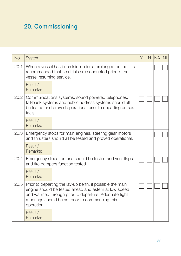# 20. Commissioning

| No.  | System                                                                                                                                                                                                                                       | Υ | N | <b>NA</b> | N <sub>l</sub> |
|------|----------------------------------------------------------------------------------------------------------------------------------------------------------------------------------------------------------------------------------------------|---|---|-----------|----------------|
| 20.1 | When a vessel has been laid-up for a prolonged period it is<br>recommended that sea trials are conducted prior to the<br>vessel resuming service.                                                                                            |   |   |           |                |
|      | Result /<br>Remarks:                                                                                                                                                                                                                         |   |   |           |                |
| 20.2 | Communications systems, sound powered telephones,<br>talkback systems and public address systems should all<br>be tested and proved operational prior to departing on sea<br>trials.                                                         |   |   |           |                |
|      | Result /<br>Remarks:                                                                                                                                                                                                                         |   |   |           |                |
| 20.3 | Emergency stops for main engines, steering gear motors<br>and thrusters should all be tested and proved operational.                                                                                                                         |   |   |           |                |
|      | Result /<br>Remarks:                                                                                                                                                                                                                         |   |   |           |                |
| 20.4 | Emergency stops for fans should be tested and vent flaps<br>and fire dampers function tested.                                                                                                                                                |   |   |           |                |
|      | Result /<br>Remarks:                                                                                                                                                                                                                         |   |   |           |                |
| 20.5 | Prior to departing the lay-up berth, if possible the main<br>engine should be tested ahead and astern at low speed<br>and warmed through prior to departure. Adequate tight<br>moorings should be set prior to commencing this<br>operation. |   |   |           |                |
|      | Result /<br>Remarks:                                                                                                                                                                                                                         |   |   |           |                |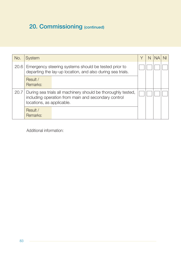# 20. Commissioning (continued)

| No.  | System                                                                                                                                           | Υ | N | NA. | <sup>NI</sup> |
|------|--------------------------------------------------------------------------------------------------------------------------------------------------|---|---|-----|---------------|
| 20.6 | Emergency steering systems should be tested prior to<br>departing the lay-up location, and also during sea trials.                               |   |   |     |               |
|      | Result /<br>Remarks:                                                                                                                             |   |   |     |               |
| 20.7 | During sea trials all machinery should be thoroughly tested,<br>including operation from main and secondary control<br>locations, as applicable. |   |   |     |               |
|      | Result /<br>Remarks:                                                                                                                             |   |   |     |               |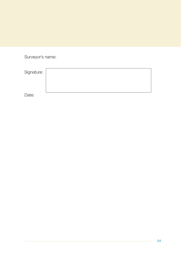Surveyor's name:

| Signature: |  |
|------------|--|
|            |  |
|            |  |
| Date:      |  |